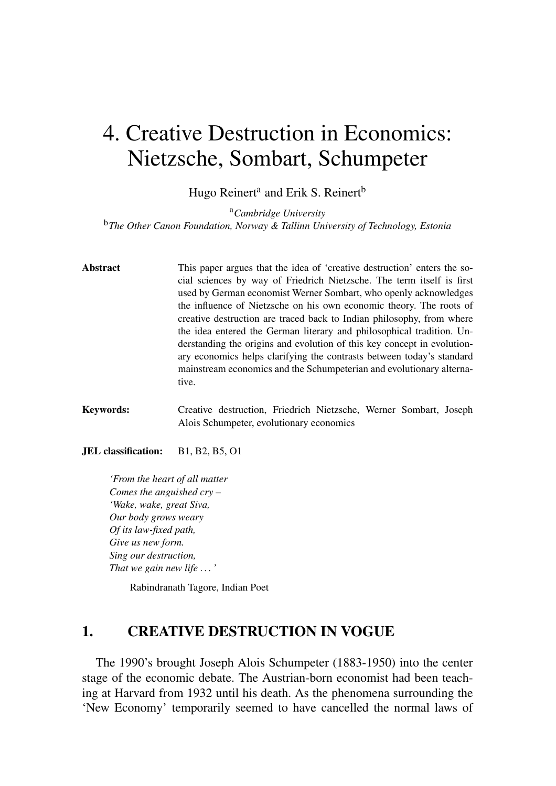# 4. Creative Destruction in Economics: Nietzsche, Sombart, Schumpeter

Hugo Reinert<sup>a</sup> and Erik S. Reinert<sup>b</sup>

<sup>a</sup>*Cambridge University* <sup>b</sup>*The Other Canon Foundation, Norway & Tallinn University of Technology, Estonia*

**Abstract** This paper argues that the idea of 'creative destruction' enters the social sciences by way of Friedrich Nietzsche. The term itself is first used by German economist Werner Sombart, who openly acknowledges the influence of Nietzsche on his own economic theory. The roots of creative destruction are traced back to Indian philosophy, from where the idea entered the German literary and philosophical tradition. Understanding the origins and evolution of this key concept in evolutionary economics helps clarifying the contrasts between today's standard mainstream economics and the Schumpeterian and evolutionary alternative.

**Keywords:** Creative destruction, Friedrich Nietzsche, Werner Sombart, Joseph Alois Schumpeter, evolutionary economics

**JEL classification:** B1, B2, B5, O1

*'From the heart of all matter Comes the anguished cry – 'Wake, wake, great Siva, Our body grows weary Of its law-fixed path, Give us new form. Sing our destruction, That we gain new life ...'*

Rabindranath Tagore, Indian Poet

# **1. CREATIVE DESTRUCTION IN VOGUE**

The 1990's brought Joseph Alois Schumpeter (1883-1950) into the center stage of the economic debate. The Austrian-born economist had been teaching at Harvard from 1932 until his death. As the phenomena surrounding the 'New Economy' temporarily seemed to have cancelled the normal laws of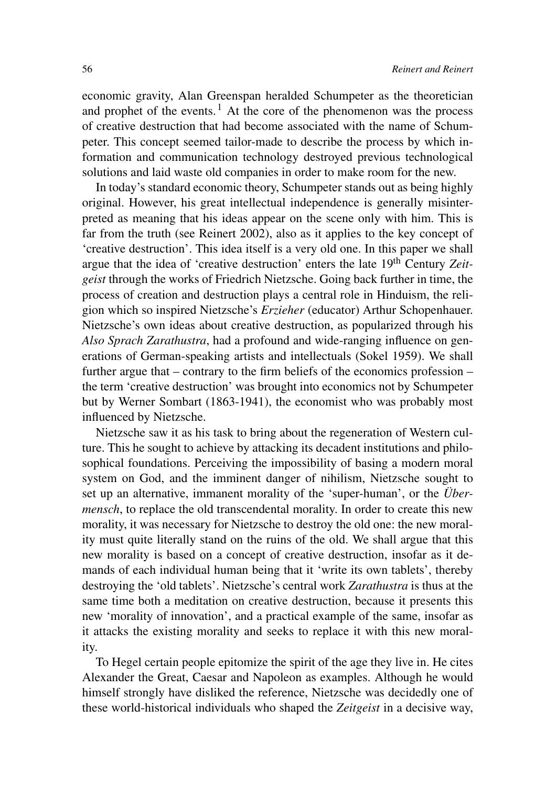economic gravity, Alan Greenspan heralded Schumpeter as the theoretician and prophet of the events.<sup>1</sup> At the core of the phenomenon was the process of creative destruction that had become associated with the name of Schumpeter. This concept seemed tailor-made to describe the process by which information and communication technology destroyed previous technological solutions and laid waste old companies in order to make room for the new.

In today's standard economic theory, Schumpeter stands out as being highly original. However, his great intellectual independence is generally misinterpreted as meaning that his ideas appear on the scene only with him. This is far from the truth (see Reinert 2002), also as it applies to the key concept of 'creative destruction'. This idea itself is a very old one. In this paper we shall argue that the idea of 'creative destruction' enters the late 19th Century *Zeitgeist* through the works of Friedrich Nietzsche. Going back further in time, the process of creation and destruction plays a central role in Hinduism, the religion which so inspired Nietzsche's *Erzieher* (educator) Arthur Schopenhauer. Nietzsche's own ideas about creative destruction, as popularized through his *Also Sprach Zarathustra*, had a profound and wide-ranging influence on generations of German-speaking artists and intellectuals (Sokel 1959). We shall further argue that – contrary to the firm beliefs of the economics profession – the term 'creative destruction' was brought into economics not by Schumpeter but by Werner Sombart (1863-1941), the economist who was probably most influenced by Nietzsche.

Nietzsche saw it as his task to bring about the regeneration of Western culture. This he sought to achieve by attacking its decadent institutions and philosophical foundations. Perceiving the impossibility of basing a modern moral system on God, and the imminent danger of nihilism, Nietzsche sought to set up an alternative, immanent morality of the 'super-human', or the *Übermensch*, to replace the old transcendental morality. In order to create this new morality, it was necessary for Nietzsche to destroy the old one: the new morality must quite literally stand on the ruins of the old. We shall argue that this new morality is based on a concept of creative destruction, insofar as it demands of each individual human being that it 'write its own tablets', thereby destroying the 'old tablets'. Nietzsche's central work *Zarathustra* is thus at the same time both a meditation on creative destruction, because it presents this new 'morality of innovation', and a practical example of the same, insofar as it attacks the existing morality and seeks to replace it with this new morality.

To Hegel certain people epitomize the spirit of the age they live in. He cites Alexander the Great, Caesar and Napoleon as examples. Although he would himself strongly have disliked the reference, Nietzsche was decidedly one of these world-historical individuals who shaped the *Zeitgeist* in a decisive way,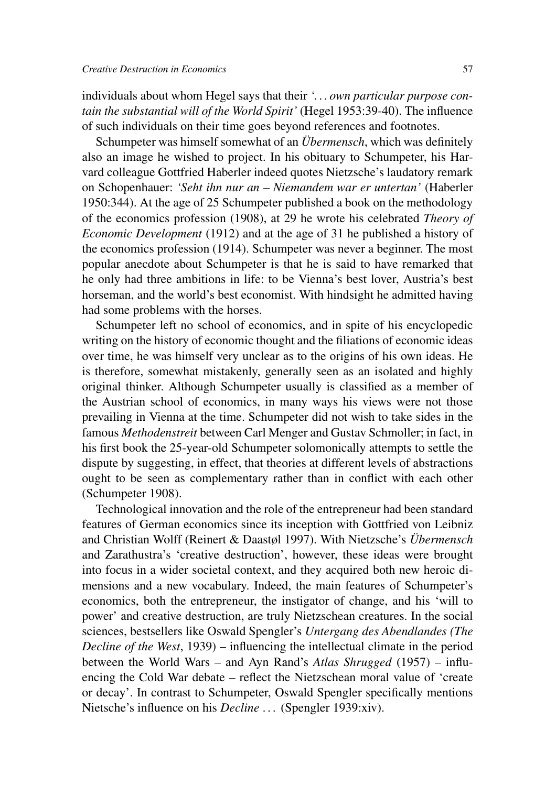individuals about whom Hegel says that their *'. . . own particular purpose contain the substantial will of the World Spirit'* (Hegel 1953:39-40). The influence of such individuals on their time goes beyond references and footnotes.

Schumpeter was himself somewhat of an *Übermensch*, which was definitely also an image he wished to project. In his obituary to Schumpeter, his Harvard colleague Gottfried Haberler indeed quotes Nietzsche's laudatory remark on Schopenhauer: *'Seht ihn nur an – Niemandem war er untertan'* (Haberler 1950:344). At the age of 25 Schumpeter published a book on the methodology of the economics profession (1908), at 29 he wrote his celebrated *Theory of Economic Development* (1912) and at the age of 31 he published a history of the economics profession (1914). Schumpeter was never a beginner. The most popular anecdote about Schumpeter is that he is said to have remarked that he only had three ambitions in life: to be Vienna's best lover, Austria's best horseman, and the world's best economist. With hindsight he admitted having had some problems with the horses.

Schumpeter left no school of economics, and in spite of his encyclopedic writing on the history of economic thought and the filiations of economic ideas over time, he was himself very unclear as to the origins of his own ideas. He is therefore, somewhat mistakenly, generally seen as an isolated and highly original thinker. Although Schumpeter usually is classified as a member of the Austrian school of economics, in many ways his views were not those prevailing in Vienna at the time. Schumpeter did not wish to take sides in the famous *Methodenstreit* between Carl Menger and Gustav Schmoller; in fact, in his first book the 25-year-old Schumpeter solomonically attempts to settle the dispute by suggesting, in effect, that theories at different levels of abstractions ought to be seen as complementary rather than in conflict with each other (Schumpeter 1908).

Technological innovation and the role of the entrepreneur had been standard features of German economics since its inception with Gottfried von Leibniz and Christian Wolff (Reinert & Daastøl 1997). With Nietzsche's *Übermensch* and Zarathustra's 'creative destruction', however, these ideas were brought into focus in a wider societal context, and they acquired both new heroic dimensions and a new vocabulary. Indeed, the main features of Schumpeter's economics, both the entrepreneur, the instigator of change, and his 'will to power' and creative destruction, are truly Nietzschean creatures. In the social sciences, bestsellers like Oswald Spengler's *Untergang des Abendlandes (The Decline of the West*, 1939) – influencing the intellectual climate in the period between the World Wars – and Ayn Rand's *Atlas Shrugged* (1957) – influencing the Cold War debate – reflect the Nietzschean moral value of 'create or decay'. In contrast to Schumpeter, Oswald Spengler specifically mentions Nietsche's influence on his *Decline* ... (Spengler 1939:xiv).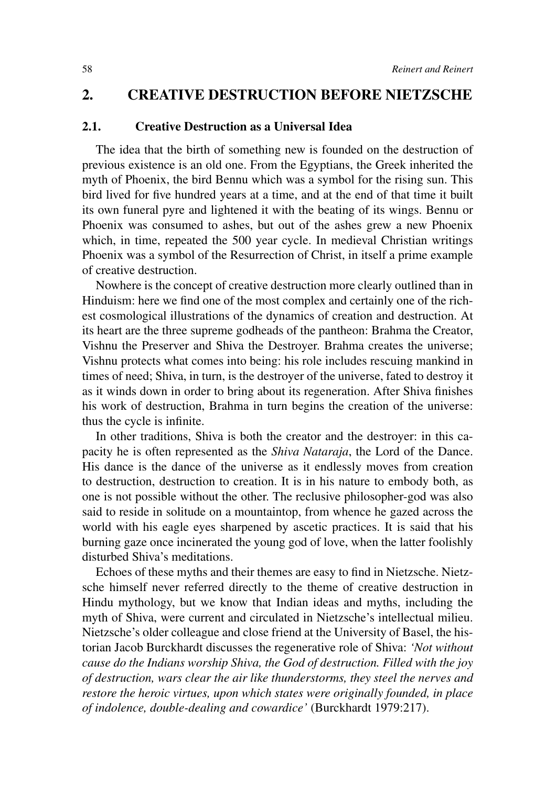## **2. CREATIVE DESTRUCTION BEFORE NIETZSCHE**

#### **2.1. Creative Destruction as a Universal Idea**

The idea that the birth of something new is founded on the destruction of previous existence is an old one. From the Egyptians, the Greek inherited the myth of Phoenix, the bird Bennu which was a symbol for the rising sun. This bird lived for five hundred years at a time, and at the end of that time it built its own funeral pyre and lightened it with the beating of its wings. Bennu or Phoenix was consumed to ashes, but out of the ashes grew a new Phoenix which, in time, repeated the 500 year cycle. In medieval Christian writings Phoenix was a symbol of the Resurrection of Christ, in itself a prime example of creative destruction.

Nowhere is the concept of creative destruction more clearly outlined than in Hinduism: here we find one of the most complex and certainly one of the richest cosmological illustrations of the dynamics of creation and destruction. At its heart are the three supreme godheads of the pantheon: Brahma the Creator, Vishnu the Preserver and Shiva the Destroyer. Brahma creates the universe; Vishnu protects what comes into being: his role includes rescuing mankind in times of need; Shiva, in turn, is the destroyer of the universe, fated to destroy it as it winds down in order to bring about its regeneration. After Shiva finishes his work of destruction, Brahma in turn begins the creation of the universe: thus the cycle is infinite.

In other traditions, Shiva is both the creator and the destroyer: in this capacity he is often represented as the *Shiva Nataraja*, the Lord of the Dance. His dance is the dance of the universe as it endlessly moves from creation to destruction, destruction to creation. It is in his nature to embody both, as one is not possible without the other. The reclusive philosopher-god was also said to reside in solitude on a mountaintop, from whence he gazed across the world with his eagle eyes sharpened by ascetic practices. It is said that his burning gaze once incinerated the young god of love, when the latter foolishly disturbed Shiva's meditations.

Echoes of these myths and their themes are easy to find in Nietzsche. Nietzsche himself never referred directly to the theme of creative destruction in Hindu mythology, but we know that Indian ideas and myths, including the myth of Shiva, were current and circulated in Nietzsche's intellectual milieu. Nietzsche's older colleague and close friend at the University of Basel, the historian Jacob Burckhardt discusses the regenerative role of Shiva: *'Not without cause do the Indians worship Shiva, the God of destruction. Filled with the joy of destruction, wars clear the air like thunderstorms, they steel the nerves and restore the heroic virtues, upon which states were originally founded, in place of indolence, double-dealing and cowardice'* (Burckhardt 1979:217).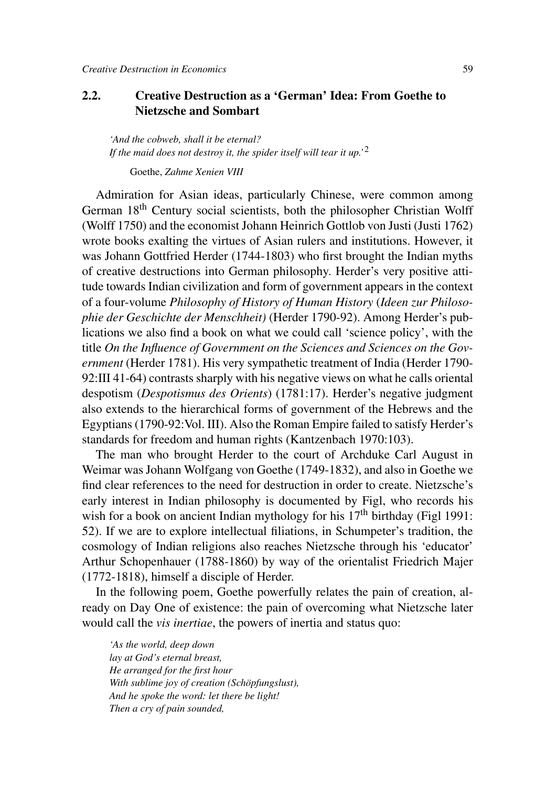### **2.2. Creative Destruction as a 'German' Idea: From Goethe to Nietzsche and Sombart**

*'And the cobweb, shall it be eternal? If the maid does not destroy it, the spider itself will tear it up.'* <sup>2</sup>

Goethe, *Zahme Xenien VIII*

Admiration for Asian ideas, particularly Chinese, were common among German 18<sup>th</sup> Century social scientists, both the philosopher Christian Wolff (Wolff 1750) and the economist Johann Heinrich Gottlob von Justi (Justi 1762) wrote books exalting the virtues of Asian rulers and institutions. However, it was Johann Gottfried Herder (1744-1803) who first brought the Indian myths of creative destructions into German philosophy. Herder's very positive attitude towards Indian civilization and form of government appears in the context of a four-volume *Philosophy of History of Human History* (*Ideen zur Philosophie der Geschichte der Menschheit)* (Herder 1790-92). Among Herder's publications we also find a book on what we could call 'science policy', with the title *On the Influence of Government on the Sciences and Sciences on the Government* (Herder 1781). His very sympathetic treatment of India (Herder 1790- 92:III 41-64) contrasts sharply with his negative views on what he calls oriental despotism (*Despotismus des Orients*) (1781:17). Herder's negative judgment also extends to the hierarchical forms of government of the Hebrews and the Egyptians (1790-92:Vol. III). Also the Roman Empire failed to satisfy Herder's standards for freedom and human rights (Kantzenbach 1970:103).

The man who brought Herder to the court of Archduke Carl August in Weimar was Johann Wolfgang von Goethe (1749-1832), and also in Goethe we find clear references to the need for destruction in order to create. Nietzsche's early interest in Indian philosophy is documented by Figl, who records his wish for a book on ancient Indian mythology for his  $17<sup>th</sup>$  birthday (Figl 1991: 52). If we are to explore intellectual filiations, in Schumpeter's tradition, the cosmology of Indian religions also reaches Nietzsche through his 'educator' Arthur Schopenhauer (1788-1860) by way of the orientalist Friedrich Majer (1772-1818), himself a disciple of Herder.

In the following poem, Goethe powerfully relates the pain of creation, already on Day One of existence: the pain of overcoming what Nietzsche later would call the *vis inertiae*, the powers of inertia and status quo:

*'As the world, deep down lay at God's eternal breast, He arranged for the first hour With sublime joy of creation (Schöpfungslust), And he spoke the word: let there be light! Then a cry of pain sounded,*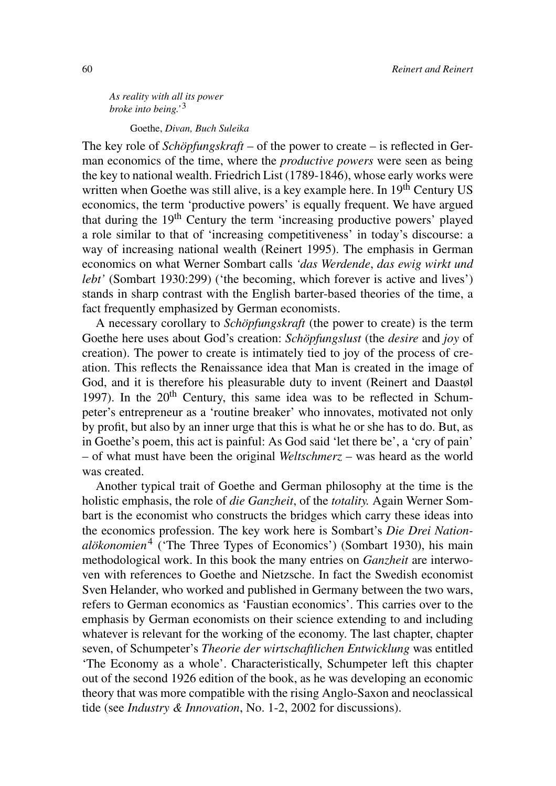*As reality with all its power broke into being.'* <sup>3</sup>

#### Goethe, *Divan, Buch Suleika*

The key role of *Schöpfungskraft* – of the power to create – is reflected in German economics of the time, where the *productive powers* were seen as being the key to national wealth. Friedrich List (1789-1846), whose early works were written when Goethe was still alive, is a key example here. In 19<sup>th</sup> Century US economics, the term 'productive powers' is equally frequent. We have argued that during the  $19<sup>th</sup>$  Century the term 'increasing productive powers' played a role similar to that of 'increasing competitiveness' in today's discourse: a way of increasing national wealth (Reinert 1995). The emphasis in German economics on what Werner Sombart calls *'das Werdende*, *das ewig wirkt und lebt'* (Sombart 1930:299) ('the becoming, which forever is active and lives') stands in sharp contrast with the English barter-based theories of the time, a fact frequently emphasized by German economists.

A necessary corollary to *Schöpfungskraft* (the power to create) is the term Goethe here uses about God's creation: *Schöpfungslust* (the *desire* and *joy* of creation). The power to create is intimately tied to joy of the process of creation. This reflects the Renaissance idea that Man is created in the image of God, and it is therefore his pleasurable duty to invent (Reinert and Daastøl 1997). In the  $20<sup>th</sup>$  Century, this same idea was to be reflected in Schumpeter's entrepreneur as a 'routine breaker' who innovates, motivated not only by profit, but also by an inner urge that this is what he or she has to do. But, as in Goethe's poem, this act is painful: As God said 'let there be', a 'cry of pain' – of what must have been the original *Weltschmerz* – was heard as the world was created.

Another typical trait of Goethe and German philosophy at the time is the holistic emphasis, the role of *die Ganzheit*, of the *totality.* Again Werner Sombart is the economist who constructs the bridges which carry these ideas into the economics profession. The key work here is Sombart's *Die Drei Nationalökonomien*<sup>4</sup> ('The Three Types of Economics') (Sombart 1930), his main methodological work. In this book the many entries on *Ganzheit* are interwoven with references to Goethe and Nietzsche. In fact the Swedish economist Sven Helander, who worked and published in Germany between the two wars, refers to German economics as 'Faustian economics'. This carries over to the emphasis by German economists on their science extending to and including whatever is relevant for the working of the economy. The last chapter, chapter seven, of Schumpeter's *Theorie der wirtschaftlichen Entwicklung* was entitled 'The Economy as a whole'. Characteristically, Schumpeter left this chapter out of the second 1926 edition of the book, as he was developing an economic theory that was more compatible with the rising Anglo-Saxon and neoclassical tide (see *Industry & Innovation*, No. 1-2, 2002 for discussions).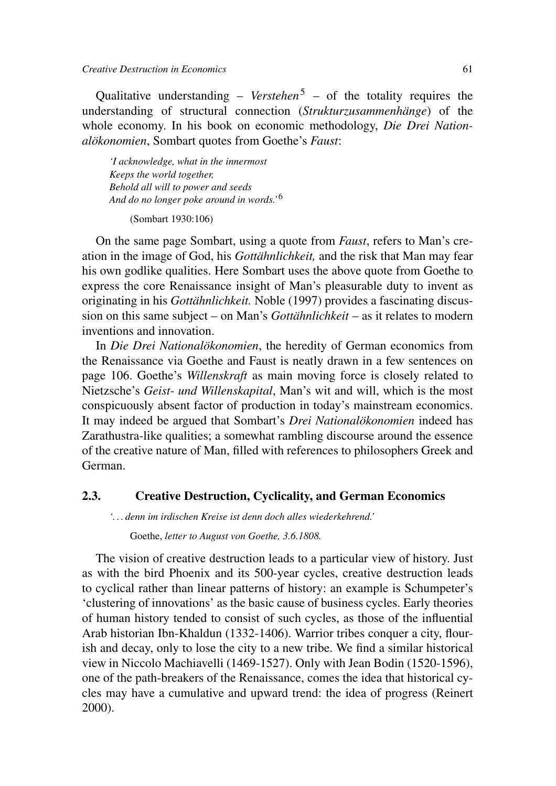Qualitative understanding – *Verstehen*<sup>5</sup> – of the totality requires the understanding of structural connection (*Strukturzusammenhänge*) of the whole economy. In his book on economic methodology, *Die Drei Nationalökonomien*, Sombart quotes from Goethe's *Faust*:

*'I acknowledge, what in the innermost Keeps the world together, Behold all will to power and seeds And do no longer poke around in words.'* <sup>6</sup>

(Sombart 1930:106)

On the same page Sombart, using a quote from *Faust*, refers to Man's creation in the image of God, his *Gottähnlichkeit,* and the risk that Man may fear his own godlike qualities. Here Sombart uses the above quote from Goethe to express the core Renaissance insight of Man's pleasurable duty to invent as originating in his *Gottähnlichkeit.* Noble (1997) provides a fascinating discussion on this same subject – on Man's *Gottähnlichkeit* – as it relates to modern inventions and innovation.

In *Die Drei Nationalökonomien*, the heredity of German economics from the Renaissance via Goethe and Faust is neatly drawn in a few sentences on page 106. Goethe's *Willenskraft* as main moving force is closely related to Nietzsche's *Geist- und Willenskapital*, Man's wit and will, which is the most conspicuously absent factor of production in today's mainstream economics. It may indeed be argued that Sombart's *Drei Nationalökonomien* indeed has Zarathustra-like qualities; a somewhat rambling discourse around the essence of the creative nature of Man, filled with references to philosophers Greek and German.

#### **2.3. Creative Destruction, Cyclicality, and German Economics**

*'. . . denn im irdischen Kreise ist denn doch alles wiederkehrend.'*

Goethe, *letter to August von Goethe, 3.6.1808.*

The vision of creative destruction leads to a particular view of history. Just as with the bird Phoenix and its 500-year cycles, creative destruction leads to cyclical rather than linear patterns of history: an example is Schumpeter's 'clustering of innovations' as the basic cause of business cycles. Early theories of human history tended to consist of such cycles, as those of the influential Arab historian Ibn-Khaldun (1332-1406). Warrior tribes conquer a city, flourish and decay, only to lose the city to a new tribe. We find a similar historical view in Niccolo Machiavelli (1469-1527). Only with Jean Bodin (1520-1596), one of the path-breakers of the Renaissance, comes the idea that historical cycles may have a cumulative and upward trend: the idea of progress (Reinert 2000).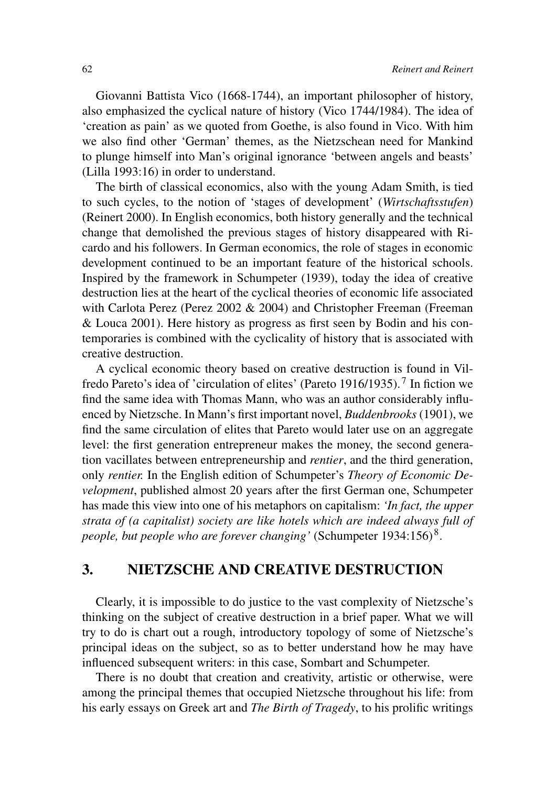Giovanni Battista Vico (1668-1744), an important philosopher of history, also emphasized the cyclical nature of history (Vico 1744/1984). The idea of 'creation as pain' as we quoted from Goethe, is also found in Vico. With him we also find other 'German' themes, as the Nietzschean need for Mankind to plunge himself into Man's original ignorance 'between angels and beasts' (Lilla 1993:16) in order to understand.

The birth of classical economics, also with the young Adam Smith, is tied to such cycles, to the notion of 'stages of development' (*Wirtschaftsstufen*) (Reinert 2000). In English economics, both history generally and the technical change that demolished the previous stages of history disappeared with Ricardo and his followers. In German economics, the role of stages in economic development continued to be an important feature of the historical schools. Inspired by the framework in Schumpeter (1939), today the idea of creative destruction lies at the heart of the cyclical theories of economic life associated with Carlota Perez (Perez 2002 & 2004) and Christopher Freeman (Freeman & Louca 2001). Here history as progress as first seen by Bodin and his contemporaries is combined with the cyclicality of history that is associated with creative destruction.

A cyclical economic theory based on creative destruction is found in Vilfredo Pareto's idea of 'circulation of elites' (Pareto 1916/1935).<sup>7</sup> In fiction we find the same idea with Thomas Mann, who was an author considerably influenced by Nietzsche. In Mann's first important novel, *Buddenbrooks* (1901), we find the same circulation of elites that Pareto would later use on an aggregate level: the first generation entrepreneur makes the money, the second generation vacillates between entrepreneurship and *rentier*, and the third generation, only *rentier.* In the English edition of Schumpeter's *Theory of Economic Development*, published almost 20 years after the first German one, Schumpeter has made this view into one of his metaphors on capitalism: *'In fact, the upper strata of (a capitalist) society are like hotels which are indeed always full of* people, but people who are forever changing' (Schumpeter 1934:156)<sup>8</sup>.

# **3. NIETZSCHE AND CREATIVE DESTRUCTION**

Clearly, it is impossible to do justice to the vast complexity of Nietzsche's thinking on the subject of creative destruction in a brief paper. What we will try to do is chart out a rough, introductory topology of some of Nietzsche's principal ideas on the subject, so as to better understand how he may have influenced subsequent writers: in this case, Sombart and Schumpeter.

There is no doubt that creation and creativity, artistic or otherwise, were among the principal themes that occupied Nietzsche throughout his life: from his early essays on Greek art and *The Birth of Tragedy*, to his prolific writings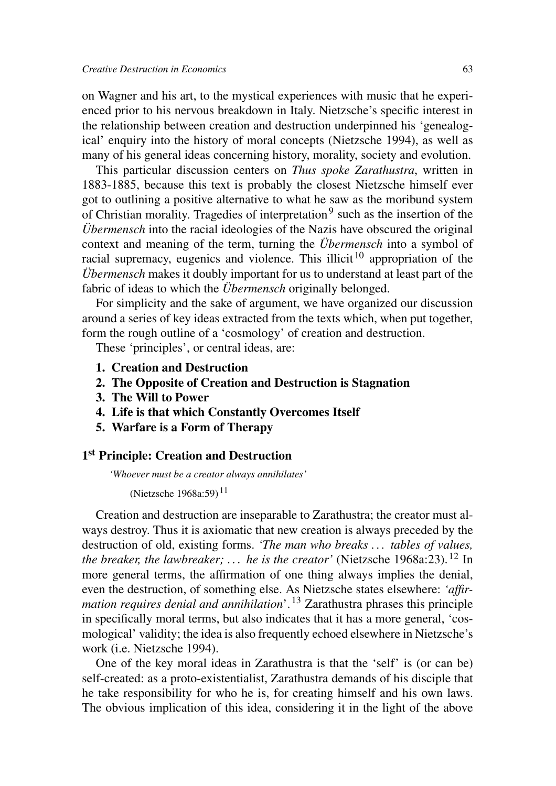on Wagner and his art, to the mystical experiences with music that he experienced prior to his nervous breakdown in Italy. Nietzsche's specific interest in the relationship between creation and destruction underpinned his 'genealogical' enquiry into the history of moral concepts (Nietzsche 1994), as well as many of his general ideas concerning history, morality, society and evolution.

This particular discussion centers on *Thus spoke Zarathustra*, written in 1883-1885, because this text is probably the closest Nietzsche himself ever got to outlining a positive alternative to what he saw as the moribund system of Christian morality. Tragedies of interpretation<sup>9</sup> such as the insertion of the *Übermensch* into the racial ideologies of the Nazis have obscured the original context and meaning of the term, turning the *Übermensch* into a symbol of racial supremacy, eugenics and violence. This illicit<sup>10</sup> appropriation of the *Übermensch* makes it doubly important for us to understand at least part of the fabric of ideas to which the *Übermensch* originally belonged.

For simplicity and the sake of argument, we have organized our discussion around a series of key ideas extracted from the texts which, when put together, form the rough outline of a 'cosmology' of creation and destruction.

These 'principles', or central ideas, are:

- **1. Creation and Destruction**
- **2. The Opposite of Creation and Destruction is Stagnation**
- **3. The Will to Power**
- **4. Life is that which Constantly Overcomes Itself**
- **5. Warfare is a Form of Therapy**

## **1 st Principle: Creation and Destruction**

*'Whoever must be a creator always annihilates'*

(Nietzsche 1968a:59) <sup>11</sup>

Creation and destruction are inseparable to Zarathustra; the creator must always destroy. Thus it is axiomatic that new creation is always preceded by the destruction of old, existing forms. *'The man who breaks . . . tables of values, the breaker, the lawbreaker; ... he is the creator'* (Nietzsche 1968a:23).<sup>12</sup> In more general terms, the affirmation of one thing always implies the denial, even the destruction, of something else. As Nietzsche states elsewhere: *'affirmation requires denial and annihilation*'.<sup>13</sup> Zarathustra phrases this principle in specifically moral terms, but also indicates that it has a more general, 'cosmological' validity; the idea is also frequently echoed elsewhere in Nietzsche's work (i.e. Nietzsche 1994).

One of the key moral ideas in Zarathustra is that the 'self' is (or can be) self-created: as a proto-existentialist, Zarathustra demands of his disciple that he take responsibility for who he is, for creating himself and his own laws. The obvious implication of this idea, considering it in the light of the above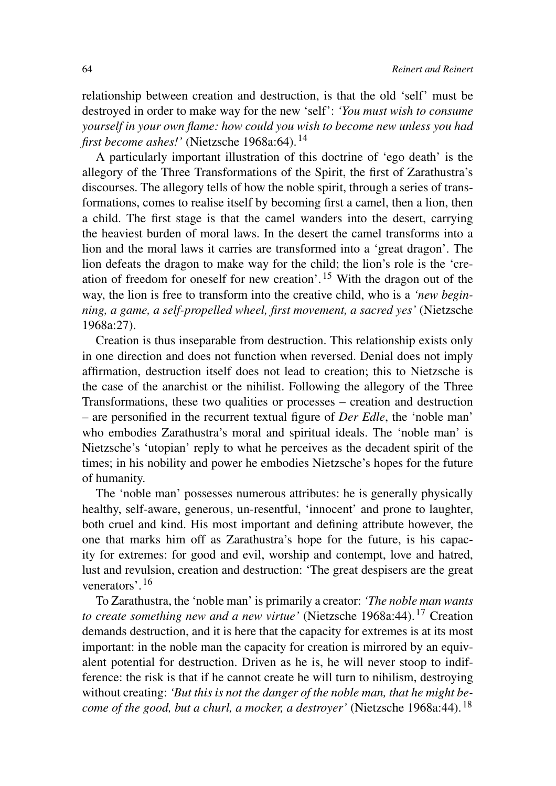relationship between creation and destruction, is that the old 'self' must be destroyed in order to make way for the new 'self': *'You must wish to consume yourself in your own flame: how could you wish to become new unless you had first become ashes!'* (Nietzsche 1968a:64).<sup>14</sup>

A particularly important illustration of this doctrine of 'ego death' is the allegory of the Three Transformations of the Spirit, the first of Zarathustra's discourses. The allegory tells of how the noble spirit, through a series of transformations, comes to realise itself by becoming first a camel, then a lion, then a child. The first stage is that the camel wanders into the desert, carrying the heaviest burden of moral laws. In the desert the camel transforms into a lion and the moral laws it carries are transformed into a 'great dragon'. The lion defeats the dragon to make way for the child; the lion's role is the 'creation of freedom for oneself for new creation'.<sup>15</sup> With the dragon out of the way, the lion is free to transform into the creative child, who is a *'new beginning, a game, a self-propelled wheel, first movement, a sacred yes'* (Nietzsche 1968a:27).

Creation is thus inseparable from destruction. This relationship exists only in one direction and does not function when reversed. Denial does not imply affirmation, destruction itself does not lead to creation; this to Nietzsche is the case of the anarchist or the nihilist. Following the allegory of the Three Transformations, these two qualities or processes – creation and destruction – are personified in the recurrent textual figure of *Der Edle*, the 'noble man' who embodies Zarathustra's moral and spiritual ideals. The 'noble man' is Nietzsche's 'utopian' reply to what he perceives as the decadent spirit of the times; in his nobility and power he embodies Nietzsche's hopes for the future of humanity.

The 'noble man' possesses numerous attributes: he is generally physically healthy, self-aware, generous, un-resentful, 'innocent' and prone to laughter, both cruel and kind. His most important and defining attribute however, the one that marks him off as Zarathustra's hope for the future, is his capacity for extremes: for good and evil, worship and contempt, love and hatred, lust and revulsion, creation and destruction: 'The great despisers are the great venerators'.<sup>16</sup>

To Zarathustra, the 'noble man' is primarily a creator: *'The noble man wants* to create something new and a new virtue' (Nietzsche 1968a:44).<sup>17</sup> Creation demands destruction, and it is here that the capacity for extremes is at its most important: in the noble man the capacity for creation is mirrored by an equivalent potential for destruction. Driven as he is, he will never stoop to indifference: the risk is that if he cannot create he will turn to nihilism, destroying without creating: *'But this is not the danger of the noble man, that he might become of the good, but a churl, a mocker, a destroyer'* (Nietzsche 1968a:44).<sup>18</sup>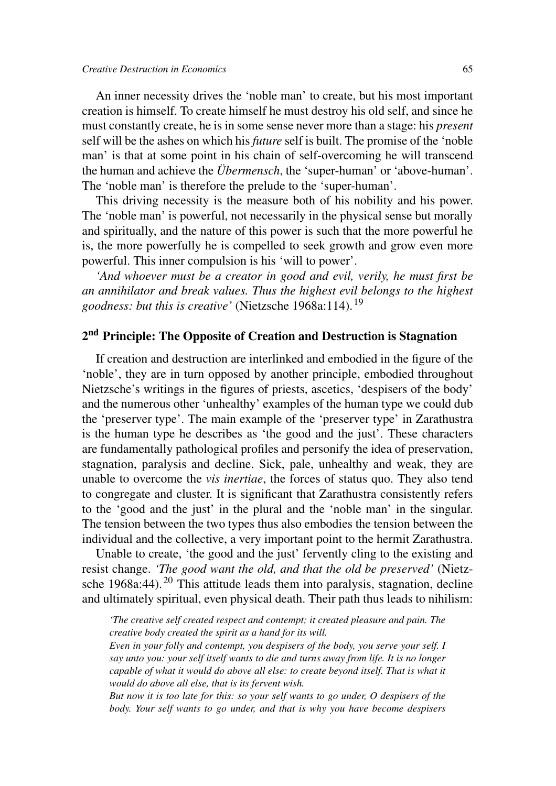An inner necessity drives the 'noble man' to create, but his most important creation is himself. To create himself he must destroy his old self, and since he must constantly create, he is in some sense never more than a stage: his *present* self will be the ashes on which his *future* self is built. The promise of the 'noble man' is that at some point in his chain of self-overcoming he will transcend the human and achieve the *Übermensch*, the 'super-human' or 'above-human'. The 'noble man' is therefore the prelude to the 'super-human'.

This driving necessity is the measure both of his nobility and his power. The 'noble man' is powerful, not necessarily in the physical sense but morally and spiritually, and the nature of this power is such that the more powerful he is, the more powerfully he is compelled to seek growth and grow even more powerful. This inner compulsion is his 'will to power'.

*'And whoever must be a creator in good and evil, verily, he must first be an annihilator and break values. Thus the highest evil belongs to the highest goodness: but this is creative'* (Nietzsche 1968a:114).<sup>19</sup>

## **2 nd Principle: The Opposite of Creation and Destruction is Stagnation**

If creation and destruction are interlinked and embodied in the figure of the 'noble', they are in turn opposed by another principle, embodied throughout Nietzsche's writings in the figures of priests, ascetics, 'despisers of the body' and the numerous other 'unhealthy' examples of the human type we could dub the 'preserver type'. The main example of the 'preserver type' in Zarathustra is the human type he describes as 'the good and the just'. These characters are fundamentally pathological profiles and personify the idea of preservation, stagnation, paralysis and decline. Sick, pale, unhealthy and weak, they are unable to overcome the *vis inertiae*, the forces of status quo. They also tend to congregate and cluster. It is significant that Zarathustra consistently refers to the 'good and the just' in the plural and the 'noble man' in the singular. The tension between the two types thus also embodies the tension between the individual and the collective, a very important point to the hermit Zarathustra.

Unable to create, 'the good and the just' fervently cling to the existing and resist change. *'The good want the old, and that the old be preserved'* (Nietzsche 1968a:44).<sup>20</sup> This attitude leads them into paralysis, stagnation, decline and ultimately spiritual, even physical death. Their path thus leads to nihilism:

*'The creative self created respect and contempt; it created pleasure and pain. The creative body created the spirit as a hand for its will.*

*Even in your folly and contempt, you despisers of the body, you serve your self. I say unto you: your self itself wants to die and turns away from life. It is no longer capable of what it would do above all else: to create beyond itself. That is what it would do above all else, that is its fervent wish.*

*But now it is too late for this: so your self wants to go under, O despisers of the body. Your self wants to go under, and that is why you have become despisers*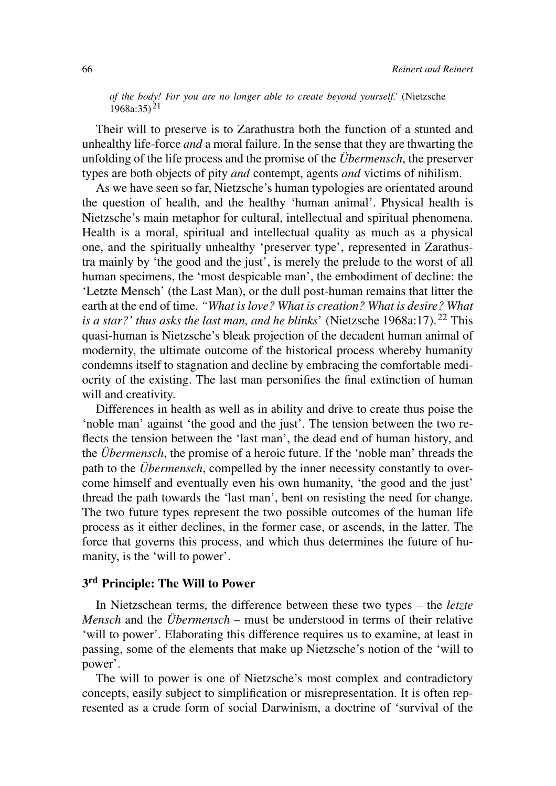#### *of the body! For you are no longer able to create beyond yourself.'* (Nietzsche 1968a:35) <sup>21</sup>

Their will to preserve is to Zarathustra both the function of a stunted and unhealthy life-force *and* a moral failure. In the sense that they are thwarting the unfolding of the life process and the promise of the *Übermensch*, the preserver types are both objects of pity *and* contempt, agents *and* victims of nihilism.

As we have seen so far, Nietzsche's human typologies are orientated around the question of health, and the healthy 'human animal'. Physical health is Nietzsche's main metaphor for cultural, intellectual and spiritual phenomena. Health is a moral, spiritual and intellectual quality as much as a physical one, and the spiritually unhealthy 'preserver type', represented in Zarathustra mainly by 'the good and the just', is merely the prelude to the worst of all human specimens, the 'most despicable man', the embodiment of decline: the 'Letzte Mensch' (the Last Man), or the dull post-human remains that litter the earth at the end of time. *"What is love? What is creation? What is desire? What is a star?' thus asks the last man, and he blinks*' (Nietzsche 1968a:17).<sup>22</sup> This quasi-human is Nietzsche's bleak projection of the decadent human animal of modernity, the ultimate outcome of the historical process whereby humanity condemns itself to stagnation and decline by embracing the comfortable mediocrity of the existing. The last man personifies the final extinction of human will and creativity.

Differences in health as well as in ability and drive to create thus poise the 'noble man' against 'the good and the just'. The tension between the two reflects the tension between the 'last man', the dead end of human history, and the *Übermensch*, the promise of a heroic future. If the 'noble man' threads the path to the *Übermensch*, compelled by the inner necessity constantly to overcome himself and eventually even his own humanity, 'the good and the just' thread the path towards the 'last man', bent on resisting the need for change. The two future types represent the two possible outcomes of the human life process as it either declines, in the former case, or ascends, in the latter. The force that governs this process, and which thus determines the future of humanity, is the 'will to power'.

## **3 rd Principle: The Will to Power**

In Nietzschean terms, the difference between these two types – the *letzte Mensch* and the *Übermensch* – must be understood in terms of their relative 'will to power'. Elaborating this difference requires us to examine, at least in passing, some of the elements that make up Nietzsche's notion of the 'will to power'.

The will to power is one of Nietzsche's most complex and contradictory concepts, easily subject to simplification or misrepresentation. It is often represented as a crude form of social Darwinism, a doctrine of 'survival of the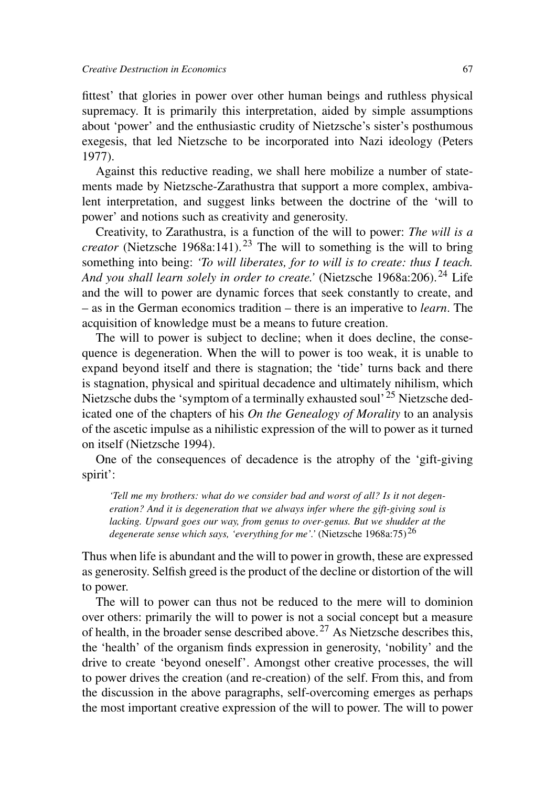fittest' that glories in power over other human beings and ruthless physical supremacy. It is primarily this interpretation, aided by simple assumptions about 'power' and the enthusiastic crudity of Nietzsche's sister's posthumous exegesis, that led Nietzsche to be incorporated into Nazi ideology (Peters 1977).

Against this reductive reading, we shall here mobilize a number of statements made by Nietzsche-Zarathustra that support a more complex, ambivalent interpretation, and suggest links between the doctrine of the 'will to power' and notions such as creativity and generosity.

Creativity, to Zarathustra, is a function of the will to power: *The will is a creator* (Nietzsche 1968a:141).<sup>23</sup> The will to something is the will to bring something into being: *'To will liberates, for to will is to create: thus I teach.* And you shall learn solely in order to create.' (Nietzsche 1968a:206).<sup>24</sup> Life and the will to power are dynamic forces that seek constantly to create, and – as in the German economics tradition – there is an imperative to *learn*. The acquisition of knowledge must be a means to future creation.

The will to power is subject to decline; when it does decline, the consequence is degeneration. When the will to power is too weak, it is unable to expand beyond itself and there is stagnation; the 'tide' turns back and there is stagnation, physical and spiritual decadence and ultimately nihilism, which Nietzsche dubs the 'symptom of a terminally exhausted soul'<sup>25</sup> Nietzsche dedicated one of the chapters of his *On the Genealogy of Morality* to an analysis of the ascetic impulse as a nihilistic expression of the will to power as it turned on itself (Nietzsche 1994).

One of the consequences of decadence is the atrophy of the 'gift-giving spirit':

*'Tell me my brothers: what do we consider bad and worst of all? Is it not degeneration? And it is degeneration that we always infer where the gift-giving soul is lacking. Upward goes our way, from genus to over-genus. But we shudder at the degenerate sense which says, 'everything for me'.'* (Nietzsche 1968a:75) <sup>26</sup>

Thus when life is abundant and the will to power in growth, these are expressed as generosity. Selfish greed is the product of the decline or distortion of the will to power.

The will to power can thus not be reduced to the mere will to dominion over others: primarily the will to power is not a social concept but a measure of health, in the broader sense described above.<sup>27</sup> As Nietzsche describes this, the 'health' of the organism finds expression in generosity, 'nobility' and the drive to create 'beyond oneself'. Amongst other creative processes, the will to power drives the creation (and re-creation) of the self. From this, and from the discussion in the above paragraphs, self-overcoming emerges as perhaps the most important creative expression of the will to power. The will to power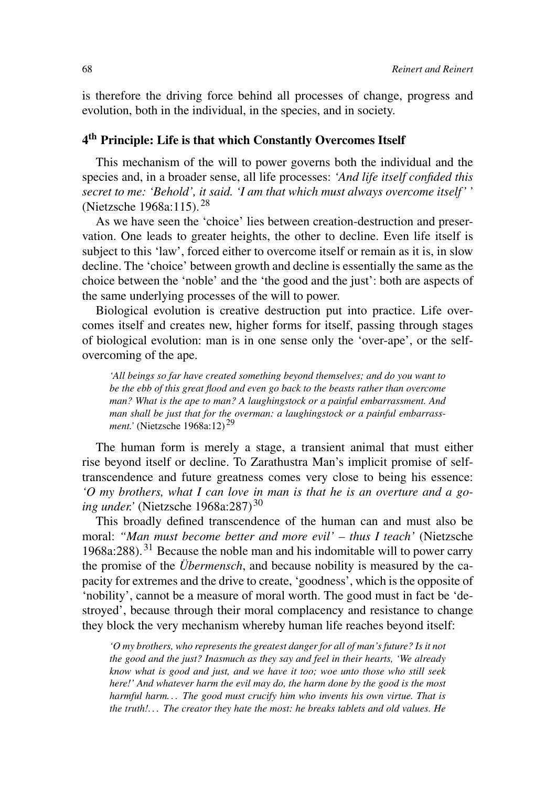is therefore the driving force behind all processes of change, progress and evolution, both in the individual, in the species, and in society.

## **4 th Principle: Life is that which Constantly Overcomes Itself**

This mechanism of the will to power governs both the individual and the species and, in a broader sense, all life processes: *'And life itself confided this secret to me: 'Behold', it said. 'I am that which must always overcome itself' '* (Nietzsche 1968a:115).<sup>28</sup>

As we have seen the 'choice' lies between creation-destruction and preservation. One leads to greater heights, the other to decline. Even life itself is subject to this 'law', forced either to overcome itself or remain as it is, in slow decline. The 'choice' between growth and decline is essentially the same as the choice between the 'noble' and the 'the good and the just': both are aspects of the same underlying processes of the will to power.

Biological evolution is creative destruction put into practice. Life overcomes itself and creates new, higher forms for itself, passing through stages of biological evolution: man is in one sense only the 'over-ape', or the selfovercoming of the ape.

*'All beings so far have created something beyond themselves; and do you want to be the ebb of this great flood and even go back to the beasts rather than overcome man? What is the ape to man? A laughingstock or a painful embarrassment. And man shall be just that for the overman: a laughingstock or a painful embarrassment.'* (Nietzsche 1968a:12) <sup>29</sup>

The human form is merely a stage, a transient animal that must either rise beyond itself or decline. To Zarathustra Man's implicit promise of selftranscendence and future greatness comes very close to being his essence: *'O my brothers, what I can love in man is that he is an overture and a going under.'* (Nietzsche 1968a:287)<sup>30</sup>

This broadly defined transcendence of the human can and must also be moral: *"Man must become better and more evil' – thus I teach'* (Nietzsche 1968a:288).<sup>31</sup> Because the noble man and his indomitable will to power carry the promise of the *Übermensch*, and because nobility is measured by the capacity for extremes and the drive to create, 'goodness', which is the opposite of 'nobility', cannot be a measure of moral worth. The good must in fact be 'destroyed', because through their moral complacency and resistance to change they block the very mechanism whereby human life reaches beyond itself:

*'O my brothers, who represents the greatest danger for all of man's future? Is it not the good and the just? Inasmuch as they say and feel in their hearts, 'We already know what is good and just, and we have it too; woe unto those who still seek here!' And whatever harm the evil may do, the harm done by the good is the most harmful harm. . . The good must crucify him who invents his own virtue. That is the truth!. . . The creator they hate the most: he breaks tablets and old values. He*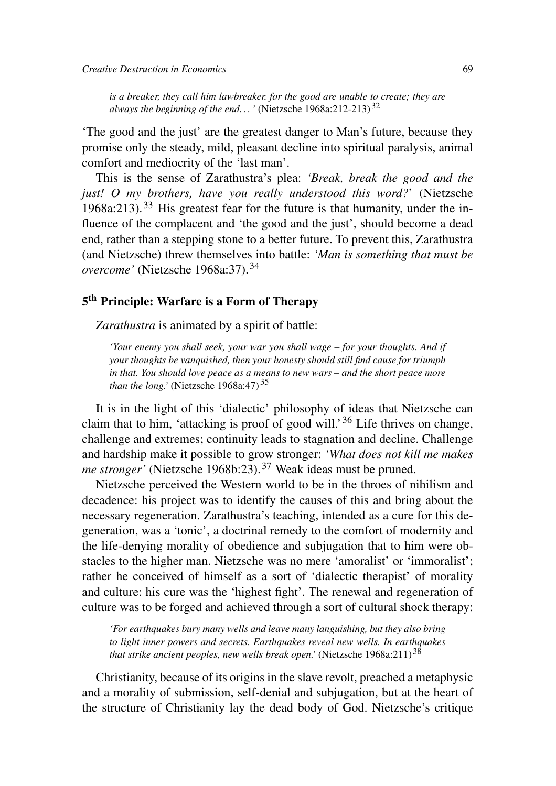*is a breaker, they call him lawbreaker. for the good are unable to create; they are always the beginning of the end...'* (Nietzsche 1968a:212-213) <sup>32</sup>

'The good and the just' are the greatest danger to Man's future, because they promise only the steady, mild, pleasant decline into spiritual paralysis, animal comfort and mediocrity of the 'last man'.

This is the sense of Zarathustra's plea: *'Break, break the good and the just! O my brothers, have you really understood this word?*' (Nietzsche 1968a:213).<sup>33</sup> His greatest fear for the future is that humanity, under the influence of the complacent and 'the good and the just', should become a dead end, rather than a stepping stone to a better future. To prevent this, Zarathustra (and Nietzsche) threw themselves into battle: *'Man is something that must be overcome'* (Nietzsche 1968a:37).<sup>34</sup>

## **5 th Principle: Warfare is a Form of Therapy**

*Zarathustra* is animated by a spirit of battle:

*'Your enemy you shall seek, your war you shall wage – for your thoughts. And if your thoughts be vanquished, then your honesty should still find cause for triumph in that. You should love peace as a means to new wars – and the short peace more than the long.'* (Nietzsche 1968a:47) <sup>35</sup>

It is in the light of this 'dialectic' philosophy of ideas that Nietzsche can claim that to him, 'attacking is proof of good will.' <sup>36</sup> Life thrives on change, challenge and extremes; continuity leads to stagnation and decline. Challenge and hardship make it possible to grow stronger: *'What does not kill me makes me stronger'* (Nietzsche 1968b:23).<sup>37</sup> Weak ideas must be pruned.

Nietzsche perceived the Western world to be in the throes of nihilism and decadence: his project was to identify the causes of this and bring about the necessary regeneration. Zarathustra's teaching, intended as a cure for this degeneration, was a 'tonic', a doctrinal remedy to the comfort of modernity and the life-denying morality of obedience and subjugation that to him were obstacles to the higher man. Nietzsche was no mere 'amoralist' or 'immoralist'; rather he conceived of himself as a sort of 'dialectic therapist' of morality and culture: his cure was the 'highest fight'. The renewal and regeneration of culture was to be forged and achieved through a sort of cultural shock therapy:

*'For earthquakes bury many wells and leave many languishing, but they also bring to light inner powers and secrets. Earthquakes reveal new wells. In earthquakes that strike ancient peoples, new wells break open.'* (Nietzsche 1968a:211) <sup>38</sup>

Christianity, because of its origins in the slave revolt, preached a metaphysic and a morality of submission, self-denial and subjugation, but at the heart of the structure of Christianity lay the dead body of God. Nietzsche's critique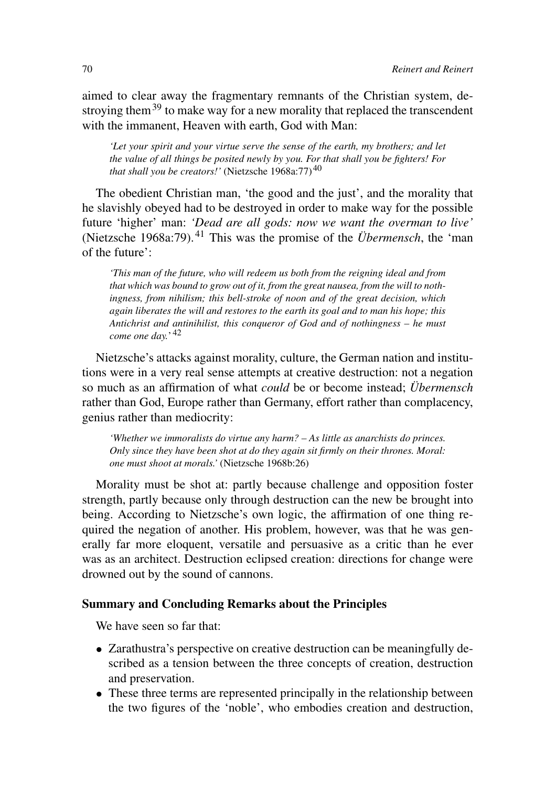aimed to clear away the fragmentary remnants of the Christian system, destroying them<sup>39</sup> to make way for a new morality that replaced the transcendent with the immanent. Heaven with earth, God with Man:

*'Let your spirit and your virtue serve the sense of the earth, my brothers; and let the value of all things be posited newly by you. For that shall you be fighters! For that shall you be creators!'* (Nietzsche 1968a:77) <sup>40</sup>

The obedient Christian man, 'the good and the just', and the morality that he slavishly obeyed had to be destroyed in order to make way for the possible future 'higher' man: *'Dead are all gods: now we want the overman to live'* (Nietzsche 1968a: 79).<sup>41</sup> This was the promise of the *Übermensch*, the 'man of the future':

*'This man of the future, who will redeem us both from the reigning ideal and from that which was bound to grow out of it, from the great nausea, from the will to nothingness, from nihilism; this bell-stroke of noon and of the great decision, which again liberates the will and restores to the earth its goal and to man his hope; this Antichrist and antinihilist, this conqueror of God and of nothingness – he must come one day.*' 42

Nietzsche's attacks against morality, culture, the German nation and institutions were in a very real sense attempts at creative destruction: not a negation so much as an affirmation of what *could* be or become instead; *Übermensch* rather than God, Europe rather than Germany, effort rather than complacency, genius rather than mediocrity:

*'Whether we immoralists do virtue any harm? – As little as anarchists do princes. Only since they have been shot at do they again sit firmly on their thrones. Moral: one must shoot at morals.'* (Nietzsche 1968b:26)

Morality must be shot at: partly because challenge and opposition foster strength, partly because only through destruction can the new be brought into being. According to Nietzsche's own logic, the affirmation of one thing required the negation of another. His problem, however, was that he was generally far more eloquent, versatile and persuasive as a critic than he ever was as an architect. Destruction eclipsed creation: directions for change were drowned out by the sound of cannons.

#### **Summary and Concluding Remarks about the Principles**

We have seen so far that:

- Zarathustra's perspective on creative destruction can be meaningfully described as a tension between the three concepts of creation, destruction and preservation.
- These three terms are represented principally in the relationship between the two figures of the 'noble', who embodies creation and destruction,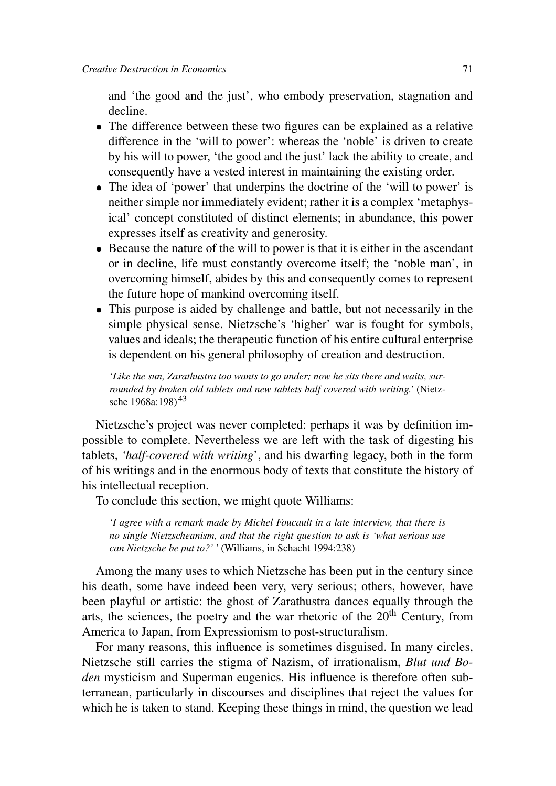and 'the good and the just', who embody preservation, stagnation and decline.

- The difference between these two figures can be explained as a relative difference in the 'will to power': whereas the 'noble' is driven to create by his will to power, 'the good and the just' lack the ability to create, and consequently have a vested interest in maintaining the existing order.
- The idea of 'power' that underpins the doctrine of the 'will to power' is neither simple nor immediately evident; rather it is a complex 'metaphysical' concept constituted of distinct elements; in abundance, this power expresses itself as creativity and generosity.
- Because the nature of the will to power is that it is either in the ascendant or in decline, life must constantly overcome itself; the 'noble man', in overcoming himself, abides by this and consequently comes to represent the future hope of mankind overcoming itself.
- This purpose is aided by challenge and battle, but not necessarily in the simple physical sense. Nietzsche's 'higher' war is fought for symbols, values and ideals; the therapeutic function of his entire cultural enterprise is dependent on his general philosophy of creation and destruction.

*'Like the sun, Zarathustra too wants to go under; now he sits there and waits, surrounded by broken old tablets and new tablets half covered with writing.'* (Nietzsche 1968a:198) <sup>43</sup>

Nietzsche's project was never completed: perhaps it was by definition impossible to complete. Nevertheless we are left with the task of digesting his tablets, *'half-covered with writing*', and his dwarfing legacy, both in the form of his writings and in the enormous body of texts that constitute the history of his intellectual reception.

To conclude this section, we might quote Williams:

*'I agree with a remark made by Michel Foucault in a late interview, that there is no single Nietzscheanism, and that the right question to ask is 'what serious use can Nietzsche be put to?' '* (Williams, in Schacht 1994:238)

Among the many uses to which Nietzsche has been put in the century since his death, some have indeed been very, very serious; others, however, have been playful or artistic: the ghost of Zarathustra dances equally through the arts, the sciences, the poetry and the war rhetoric of the  $20<sup>th</sup>$  Century, from America to Japan, from Expressionism to post-structuralism.

For many reasons, this influence is sometimes disguised. In many circles, Nietzsche still carries the stigma of Nazism, of irrationalism, *Blut und Boden* mysticism and Superman eugenics. His influence is therefore often subterranean, particularly in discourses and disciplines that reject the values for which he is taken to stand. Keeping these things in mind, the question we lead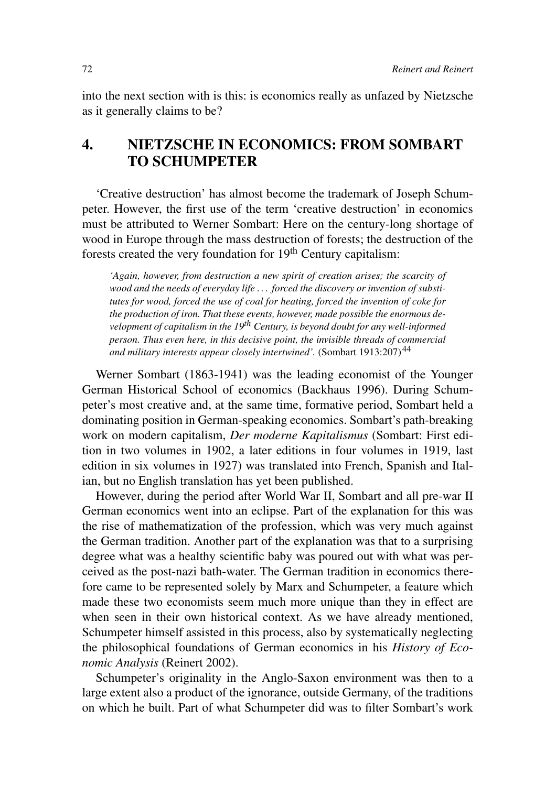into the next section with is this: is economics really as unfazed by Nietzsche as it generally claims to be?

# **4. NIETZSCHE IN ECONOMICS: FROM SOMBART TO SCHUMPETER**

'Creative destruction' has almost become the trademark of Joseph Schumpeter. However, the first use of the term 'creative destruction' in economics must be attributed to Werner Sombart: Here on the century-long shortage of wood in Europe through the mass destruction of forests; the destruction of the forests created the very foundation for 19<sup>th</sup> Century capitalism:

*'Again, however, from destruction a new spirit of creation arises; the scarcity of wood and the needs of everyday life . . . forced the discovery or invention of substitutes for wood, forced the use of coal for heating, forced the invention of coke for the production of iron. That these events, however, made possible the enormous development of capitalism in the 19th Century, is beyond doubt for any well-informed person. Thus even here, in this decisive point, the invisible threads of commercial and military interests appear closely intertwined'.* (Sombart 1913:207) <sup>44</sup>

Werner Sombart (1863-1941) was the leading economist of the Younger German Historical School of economics (Backhaus 1996). During Schumpeter's most creative and, at the same time, formative period, Sombart held a dominating position in German-speaking economics. Sombart's path-breaking work on modern capitalism, *Der moderne Kapitalismus* (Sombart: First edition in two volumes in 1902, a later editions in four volumes in 1919, last edition in six volumes in 1927) was translated into French, Spanish and Italian, but no English translation has yet been published.

However, during the period after World War II, Sombart and all pre-war II German economics went into an eclipse. Part of the explanation for this was the rise of mathematization of the profession, which was very much against the German tradition. Another part of the explanation was that to a surprising degree what was a healthy scientific baby was poured out with what was perceived as the post-nazi bath-water. The German tradition in economics therefore came to be represented solely by Marx and Schumpeter, a feature which made these two economists seem much more unique than they in effect are when seen in their own historical context. As we have already mentioned, Schumpeter himself assisted in this process, also by systematically neglecting the philosophical foundations of German economics in his *History of Economic Analysis* (Reinert 2002).

Schumpeter's originality in the Anglo-Saxon environment was then to a large extent also a product of the ignorance, outside Germany, of the traditions on which he built. Part of what Schumpeter did was to filter Sombart's work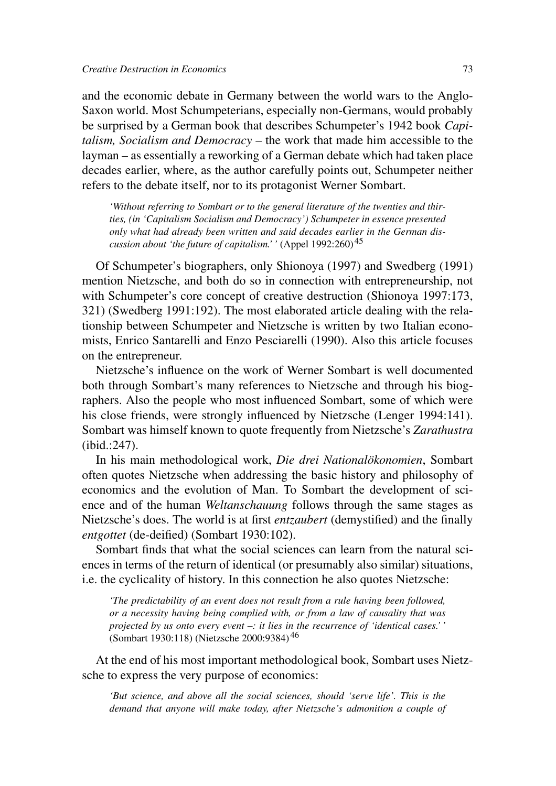and the economic debate in Germany between the world wars to the Anglo-Saxon world. Most Schumpeterians, especially non-Germans, would probably be surprised by a German book that describes Schumpeter's 1942 book *Capitalism, Socialism and Democracy* – the work that made him accessible to the layman – as essentially a reworking of a German debate which had taken place decades earlier, where, as the author carefully points out, Schumpeter neither refers to the debate itself, nor to its protagonist Werner Sombart.

*'Without referring to Sombart or to the general literature of the twenties and thirties, (in 'Capitalism Socialism and Democracy') Schumpeter in essence presented only what had already been written and said decades earlier in the German discussion about 'the future of capitalism.' '* (Appel 1992:260) <sup>45</sup>

Of Schumpeter's biographers, only Shionoya (1997) and Swedberg (1991) mention Nietzsche, and both do so in connection with entrepreneurship, not with Schumpeter's core concept of creative destruction (Shionoya 1997:173, 321) (Swedberg 1991:192). The most elaborated article dealing with the relationship between Schumpeter and Nietzsche is written by two Italian economists, Enrico Santarelli and Enzo Pesciarelli (1990). Also this article focuses on the entrepreneur.

Nietzsche's influence on the work of Werner Sombart is well documented both through Sombart's many references to Nietzsche and through his biographers. Also the people who most influenced Sombart, some of which were his close friends, were strongly influenced by Nietzsche (Lenger 1994:141). Sombart was himself known to quote frequently from Nietzsche's *Zarathustra* (ibid.:247).

In his main methodological work, *Die drei Nationalökonomien*, Sombart often quotes Nietzsche when addressing the basic history and philosophy of economics and the evolution of Man. To Sombart the development of science and of the human *Weltanschauung* follows through the same stages as Nietzsche's does. The world is at first *entzaubert* (demystified) and the finally *entgottet* (de-deified) (Sombart 1930:102).

Sombart finds that what the social sciences can learn from the natural sciences in terms of the return of identical (or presumably also similar) situations, i.e. the cyclicality of history. In this connection he also quotes Nietzsche:

*'The predictability of an event does not result from a rule having been followed, or a necessity having being complied with, or from a law of causality that was projected by us onto every event –: it lies in the recurrence of 'identical cases.' '* (Sombart 1930:118) (Nietzsche 2000:9384) <sup>46</sup>

At the end of his most important methodological book, Sombart uses Nietzsche to express the very purpose of economics:

*'But science, and above all the social sciences, should 'serve life'. This is the demand that anyone will make today, after Nietzsche's admonition a couple of*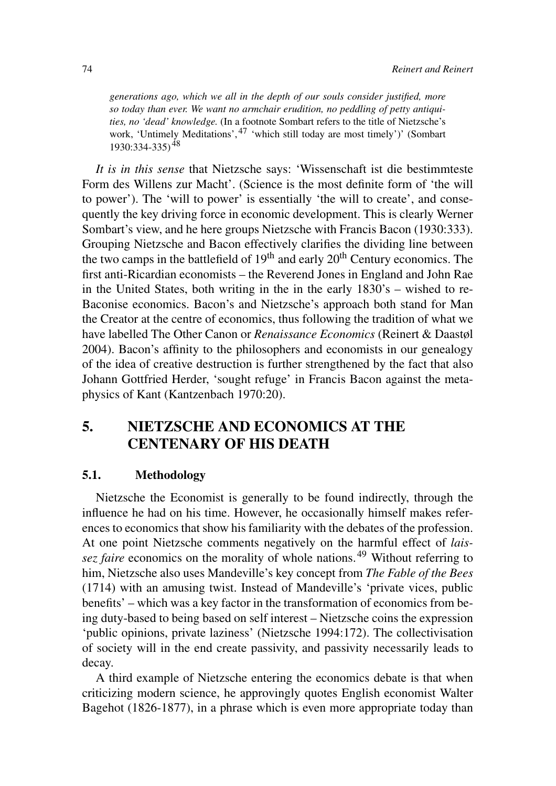*generations ago, which we all in the depth of our souls consider justified, more so today than ever. We want no armchair erudition, no peddling of petty antiquities, no 'dead' knowledge.* (In a footnote Sombart refers to the title of Nietzsche's work, 'Untimely Meditations', <sup>47</sup> 'which still today are most timely')' (Sombart  $1930:334-335$ <sup>48</sup>

*It is in this sense* that Nietzsche says: 'Wissenschaft ist die bestimmteste Form des Willens zur Macht'. (Science is the most definite form of 'the will to power'). The 'will to power' is essentially 'the will to create', and consequently the key driving force in economic development. This is clearly Werner Sombart's view, and he here groups Nietzsche with Francis Bacon (1930:333). Grouping Nietzsche and Bacon effectively clarifies the dividing line between the two camps in the battlefield of  $19<sup>th</sup>$  and early  $20<sup>th</sup>$  Century economics. The first anti-Ricardian economists – the Reverend Jones in England and John Rae in the United States, both writing in the in the early 1830's – wished to re-Baconise economics. Bacon's and Nietzsche's approach both stand for Man the Creator at the centre of economics, thus following the tradition of what we have labelled The Other Canon or *Renaissance Economics* (Reinert & Daastøl 2004). Bacon's affinity to the philosophers and economists in our genealogy of the idea of creative destruction is further strengthened by the fact that also Johann Gottfried Herder, 'sought refuge' in Francis Bacon against the metaphysics of Kant (Kantzenbach 1970:20).

# **5. NIETZSCHE AND ECONOMICS AT THE CENTENARY OF HIS DEATH**

### **5.1. Methodology**

Nietzsche the Economist is generally to be found indirectly, through the influence he had on his time. However, he occasionally himself makes references to economics that show his familiarity with the debates of the profession. At one point Nietzsche comments negatively on the harmful effect of *laissez faire* economics on the morality of whole nations.<sup>49</sup> Without referring to him, Nietzsche also uses Mandeville's key concept from *The Fable of the Bees* (1714) with an amusing twist. Instead of Mandeville's 'private vices, public benefits' – which was a key factor in the transformation of economics from being duty-based to being based on self interest – Nietzsche coins the expression 'public opinions, private laziness' (Nietzsche 1994:172). The collectivisation of society will in the end create passivity, and passivity necessarily leads to decay.

A third example of Nietzsche entering the economics debate is that when criticizing modern science, he approvingly quotes English economist Walter Bagehot (1826-1877), in a phrase which is even more appropriate today than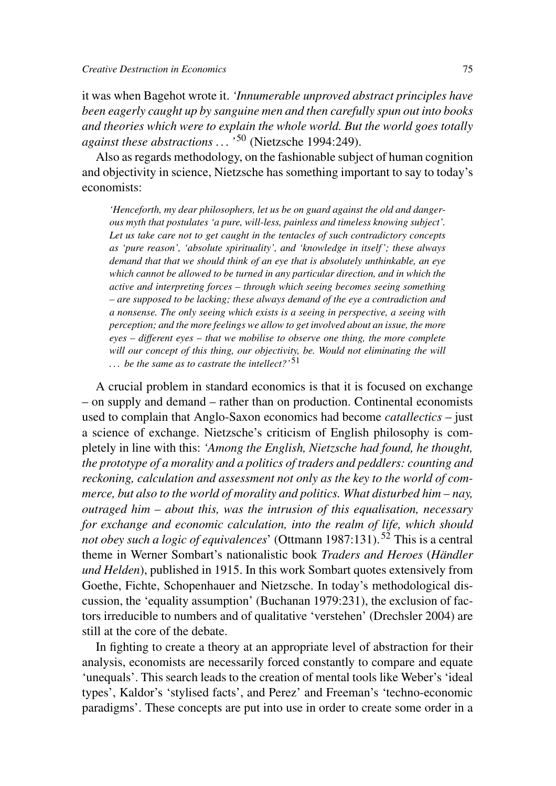it was when Bagehot wrote it. *'Innumerable unproved abstract principles have been eagerly caught up by sanguine men and then carefully spun out into books and theories which were to explain the whole world. But the world goes totally against these abstractions ...'* <sup>50</sup> (Nietzsche 1994:249).

Also as regards methodology, on the fashionable subject of human cognition and objectivity in science, Nietzsche has something important to say to today's economists:

*'Henceforth, my dear philosophers, let us be on guard against the old and dangerous myth that postulates 'a pure, will-less, painless and timeless knowing subject'. Let us take care not to get caught in the tentacles of such contradictory concepts as 'pure reason', 'absolute spirituality', and 'knowledge in itself'; these always demand that that we should think of an eye that is absolutely unthinkable, an eye which cannot be allowed to be turned in any particular direction, and in which the active and interpreting forces – through which seeing becomes seeing something – are supposed to be lacking; these always demand of the eye a contradiction and a nonsense. The only seeing which exists is a seeing in perspective, a seeing with perception; and the more feelings we allow to get involved about an issue, the more eyes – different eyes – that we mobilise to observe one thing, the more complete* will our concept of this thing, our objectivity, be. Would not eliminating the will *. . . be the same as to castrate the intellect?'* <sup>51</sup>

A crucial problem in standard economics is that it is focused on exchange – on supply and demand – rather than on production. Continental economists used to complain that Anglo-Saxon economics had become *catallectics* – just a science of exchange. Nietzsche's criticism of English philosophy is completely in line with this: *'Among the English, Nietzsche had found, he thought, the prototype of a morality and a politics of traders and peddlers: counting and reckoning, calculation and assessment not only as the key to the world of commerce, but also to the world of morality and politics. What disturbed him – nay, outraged him – about this, was the intrusion of this equalisation, necessary for exchange and economic calculation, into the realm of life, which should not obey such a logic of equivalences*' (Ottmann 1987:131).<sup>52</sup> This is a central theme in Werner Sombart's nationalistic book *Traders and Heroes* (*Händler und Helden*), published in 1915. In this work Sombart quotes extensively from Goethe, Fichte, Schopenhauer and Nietzsche. In today's methodological discussion, the 'equality assumption' (Buchanan 1979:231), the exclusion of factors irreducible to numbers and of qualitative 'verstehen' (Drechsler 2004) are still at the core of the debate.

In fighting to create a theory at an appropriate level of abstraction for their analysis, economists are necessarily forced constantly to compare and equate 'unequals'. This search leads to the creation of mental tools like Weber's 'ideal types', Kaldor's 'stylised facts', and Perez' and Freeman's 'techno-economic paradigms'. These concepts are put into use in order to create some order in a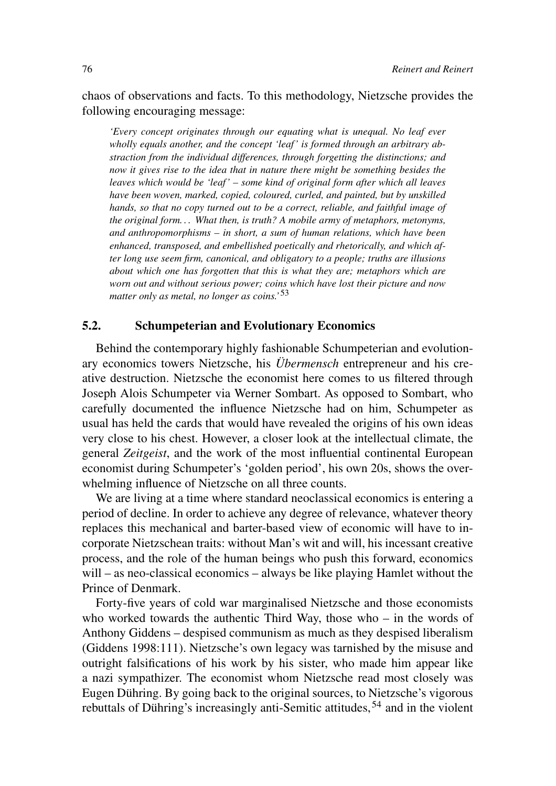chaos of observations and facts. To this methodology, Nietzsche provides the following encouraging message:

*'Every concept originates through our equating what is unequal. No leaf ever wholly equals another, and the concept 'leaf' is formed through an arbitrary abstraction from the individual differences, through forgetting the distinctions; and now it gives rise to the idea that in nature there might be something besides the leaves which would be 'leaf' – some kind of original form after which all leaves have been woven, marked, copied, coloured, curled, and painted, but by unskilled hands, so that no copy turned out to be a correct, reliable, and faithful image of the original form. . . What then, is truth? A mobile army of metaphors, metonyms, and anthropomorphisms – in short, a sum of human relations, which have been enhanced, transposed, and embellished poetically and rhetorically, and which after long use seem firm, canonical, and obligatory to a people; truths are illusions about which one has forgotten that this is what they are; metaphors which are worn out and without serious power; coins which have lost their picture and now matter only as metal, no longer as coins.'* <sup>53</sup>

#### **5.2. Schumpeterian and Evolutionary Economics**

Behind the contemporary highly fashionable Schumpeterian and evolutionary economics towers Nietzsche, his *Übermensch* entrepreneur and his creative destruction. Nietzsche the economist here comes to us filtered through Joseph Alois Schumpeter via Werner Sombart. As opposed to Sombart, who carefully documented the influence Nietzsche had on him, Schumpeter as usual has held the cards that would have revealed the origins of his own ideas very close to his chest. However, a closer look at the intellectual climate, the general *Zeitgeist*, and the work of the most influential continental European economist during Schumpeter's 'golden period', his own 20s, shows the overwhelming influence of Nietzsche on all three counts.

We are living at a time where standard neoclassical economics is entering a period of decline. In order to achieve any degree of relevance, whatever theory replaces this mechanical and barter-based view of economic will have to incorporate Nietzschean traits: without Man's wit and will, his incessant creative process, and the role of the human beings who push this forward, economics will – as neo-classical economics – always be like playing Hamlet without the Prince of Denmark.

Forty-five years of cold war marginalised Nietzsche and those economists who worked towards the authentic Third Way, those who – in the words of Anthony Giddens – despised communism as much as they despised liberalism (Giddens 1998:111). Nietzsche's own legacy was tarnished by the misuse and outright falsifications of his work by his sister, who made him appear like a nazi sympathizer. The economist whom Nietzsche read most closely was Eugen Dühring. By going back to the original sources, to Nietzsche's vigorous rebuttals of Dühring's increasingly anti-Semitic attitudes,<sup>54</sup> and in the violent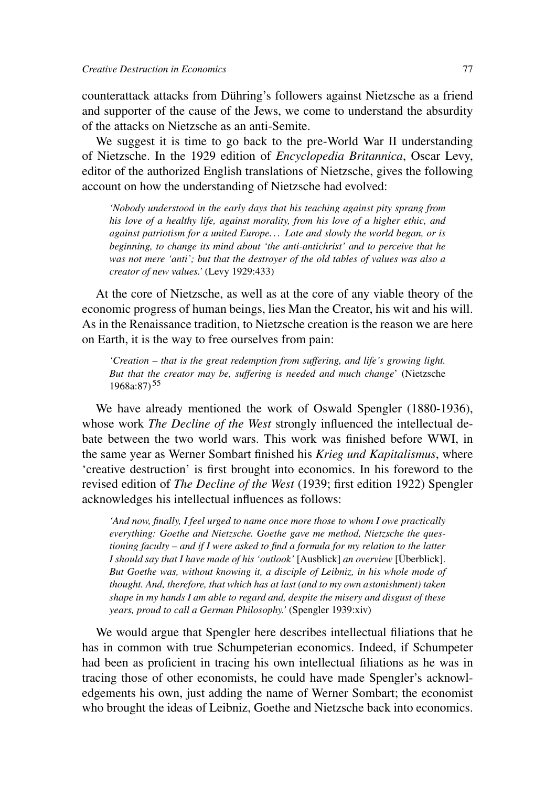counterattack attacks from Dühring's followers against Nietzsche as a friend and supporter of the cause of the Jews, we come to understand the absurdity of the attacks on Nietzsche as an anti-Semite.

We suggest it is time to go back to the pre-World War II understanding of Nietzsche. In the 1929 edition of *Encyclopedia Britannica*, Oscar Levy, editor of the authorized English translations of Nietzsche, gives the following account on how the understanding of Nietzsche had evolved:

*'Nobody understood in the early days that his teaching against pity sprang from his love of a healthy life, against morality, from his love of a higher ethic, and against patriotism for a united Europe. . . Late and slowly the world began, or is beginning, to change its mind about 'the anti-antichrist' and to perceive that he was not mere 'anti'; but that the destroyer of the old tables of values was also a creator of new values.'* (Levy 1929:433)

At the core of Nietzsche, as well as at the core of any viable theory of the economic progress of human beings, lies Man the Creator, his wit and his will. As in the Renaissance tradition, to Nietzsche creation is the reason we are here on Earth, it is the way to free ourselves from pain:

*'Creation – that is the great redemption from suffering, and life's growing light. But that the creator may be, suffering is needed and much change*' (Nietzsche 1968a:87) <sup>55</sup>

We have already mentioned the work of Oswald Spengler (1880-1936), whose work *The Decline of the West* strongly influenced the intellectual debate between the two world wars. This work was finished before WWI, in the same year as Werner Sombart finished his *Krieg und Kapitalismus*, where 'creative destruction' is first brought into economics. In his foreword to the revised edition of *The Decline of the West* (1939; first edition 1922) Spengler acknowledges his intellectual influences as follows:

*'And now, finally, I feel urged to name once more those to whom I owe practically everything: Goethe and Nietzsche. Goethe gave me method, Nietzsche the questioning faculty – and if I were asked to find a formula for my relation to the latter I should say that I have made of his 'outlook'* [Ausblick] *an overview* [Überblick]. *But Goethe was, without knowing it, a disciple of Leibniz, in his whole mode of thought. And, therefore, that which has at last (and to my own astonishment) taken shape in my hands I am able to regard and, despite the misery and disgust of these years, proud to call a German Philosophy.'* (Spengler 1939:xiv)

We would argue that Spengler here describes intellectual filiations that he has in common with true Schumpeterian economics. Indeed, if Schumpeter had been as proficient in tracing his own intellectual filiations as he was in tracing those of other economists, he could have made Spengler's acknowledgements his own, just adding the name of Werner Sombart; the economist who brought the ideas of Leibniz, Goethe and Nietzsche back into economics.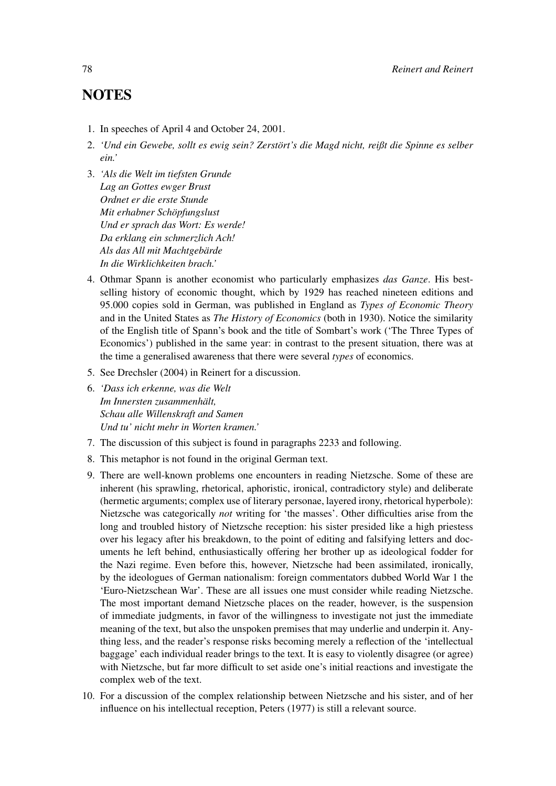# **NOTES**

- 1. In speeches of April 4 and October 24, 2001.
- 2. *'Und ein Gewebe, sollt es ewig sein? Zerstört's die Magd nicht, reißt die Spinne es selber ein.'*
- 3. *'Als die Welt im tiefsten Grunde Lag an Gottes ewger Brust Ordnet er die erste Stunde Mit erhabner Schöpfungslust Und er sprach das Wort: Es werde! Da erklang ein schmerzlich Ach! Als das All mit Machtgebärde In die Wirklichkeiten brach.'*
- 4. Othmar Spann is another economist who particularly emphasizes *das Ganze*. His bestselling history of economic thought, which by 1929 has reached nineteen editions and 95.000 copies sold in German, was published in England as *Types of Economic Theory* and in the United States as *The History of Economics* (both in 1930). Notice the similarity of the English title of Spann's book and the title of Sombart's work ('The Three Types of Economics') published in the same year: in contrast to the present situation, there was at the time a generalised awareness that there were several *types* of economics.
- 5. See Drechsler (2004) in Reinert for a discussion.
- 6. *'Dass ich erkenne, was die Welt Im Innersten zusammenhält, Schau alle Willenskraft and Samen Und tu' nicht mehr in Worten kramen.'*
- 7. The discussion of this subject is found in paragraphs 2233 and following.
- 8. This metaphor is not found in the original German text.
- 9. There are well-known problems one encounters in reading Nietzsche. Some of these are inherent (his sprawling, rhetorical, aphoristic, ironical, contradictory style) and deliberate (hermetic arguments; complex use of literary personae, layered irony, rhetorical hyperbole): Nietzsche was categorically *not* writing for 'the masses'. Other difficulties arise from the long and troubled history of Nietzsche reception: his sister presided like a high priestess over his legacy after his breakdown, to the point of editing and falsifying letters and documents he left behind, enthusiastically offering her brother up as ideological fodder for the Nazi regime. Even before this, however, Nietzsche had been assimilated, ironically, by the ideologues of German nationalism: foreign commentators dubbed World War 1 the 'Euro-Nietzschean War'. These are all issues one must consider while reading Nietzsche. The most important demand Nietzsche places on the reader, however, is the suspension of immediate judgments, in favor of the willingness to investigate not just the immediate meaning of the text, but also the unspoken premises that may underlie and underpin it. Anything less, and the reader's response risks becoming merely a reflection of the 'intellectual baggage' each individual reader brings to the text. It is easy to violently disagree (or agree) with Nietzsche, but far more difficult to set aside one's initial reactions and investigate the complex web of the text.
- 10. For a discussion of the complex relationship between Nietzsche and his sister, and of her influence on his intellectual reception, Peters (1977) is still a relevant source.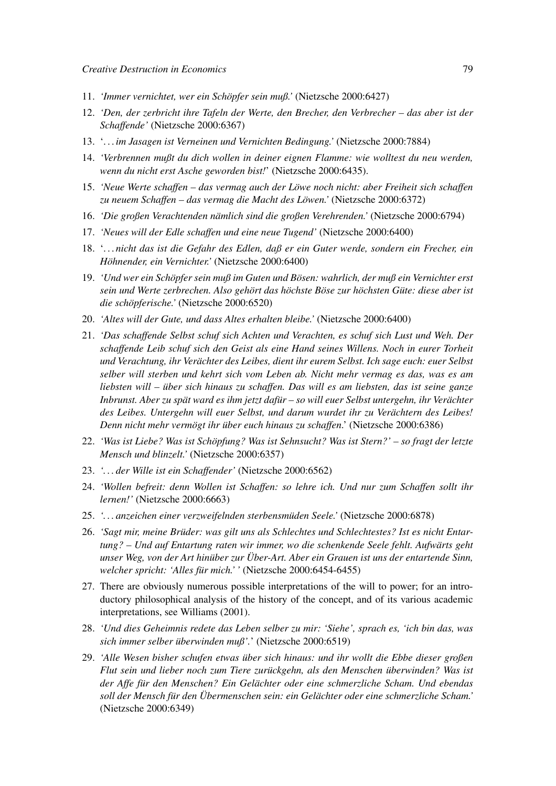- 11. *'Immer vernichtet, wer ein Schöpfer sein muß.'* (Nietzsche 2000:6427)
- 12. *'Den, der zerbricht ihre Tafeln der Werte, den Brecher, den Verbrecher das aber ist der Schaffende'* (Nietzsche 2000:6367)
- 13. '. . . *im Jasagen ist Verneinen und Vernichten Bedingung.'* (Nietzsche 2000:7884)
- 14. *'Verbrennen mußt du dich wollen in deiner eignen Flamme: wie wolltest du neu werden, wenn du nicht erst Asche geworden bist!*' (Nietzsche 2000:6435).
- 15. *'Neue Werte schaffen das vermag auch der Löwe noch nicht: aber Freiheit sich schaffen zu neuem Schaffen – das vermag die Macht des Löwen.'* (Nietzsche 2000:6372)
- 16. *'Die großen Verachtenden nämlich sind die großen Verehrenden.'* (Nietzsche 2000:6794)
- 17. *'Neues will der Edle schaffen und eine neue Tugend'* (Nietzsche 2000:6400)
- 18. '. . . *nicht das ist die Gefahr des Edlen, daß er ein Guter werde, sondern ein Frecher, ein Höhnender, ein Vernichter.'* (Nietzsche 2000:6400)
- 19. *'Und wer ein Schöpfer sein muß im Guten und Bösen: wahrlich, der muß ein Vernichter erst sein und Werte zerbrechen. Also gehört das höchste Böse zur höchsten Güte: diese aber ist die schöpferische.'* (Nietzsche 2000:6520)
- 20. *'Altes will der Gute, und dass Altes erhalten bleibe.'* (Nietzsche 2000:6400)
- 21. *'Das schaffende Selbst schuf sich Achten und Verachten, es schuf sich Lust und Weh. Der schaffende Leib schuf sich den Geist als eine Hand seines Willens. Noch in eurer Torheit und Verachtung, ihr Verächter des Leibes, dient ihr eurem Selbst. Ich sage euch: euer Selbst selber will sterben und kehrt sich vom Leben ab. Nicht mehr vermag es das, was es am liebsten will – über sich hinaus zu schaffen. Das will es am liebsten, das ist seine ganze Inbrunst. Aber zu spät ward es ihm jetzt dafür – so will euer Selbst untergehn, ihr Verächter des Leibes. Untergehn will euer Selbst, und darum wurdet ihr zu Verächtern des Leibes! Denn nicht mehr vermögt ihr über euch hinaus zu schaffen*.' (Nietzsche 2000:6386)
- 22. *'Was ist Liebe? Was ist Schöpfung? Was ist Sehnsucht? Was ist Stern?' so fragt der letzte Mensch und blinzelt.'* (Nietzsche 2000:6357)
- 23. *'. . . der Wille ist ein Schaffender'* (Nietzsche 2000:6562)
- 24. *'Wollen befreit: denn Wollen ist Schaffen: so lehre ich. Und nur zum Schaffen sollt ihr lernen!'* (Nietzsche 2000:6663)
- 25. *'. . . anzeichen einer verzweifelnden sterbensmüden Seele.'* (Nietzsche 2000:6878)
- 26. *'Sagt mir, meine Brüder: was gilt uns als Schlechtes und Schlechtestes? Ist es nicht Entartung? – Und auf Entartung raten wir immer, wo die schenkende Seele fehlt. Aufwärts geht unser Weg, von der Art hinüber zur Über-Art. Aber ein Grauen ist uns der entartende Sinn, welcher spricht: 'Alles für mich.' '* (Nietzsche 2000:6454-6455)
- 27. There are obviously numerous possible interpretations of the will to power; for an introductory philosophical analysis of the history of the concept, and of its various academic interpretations, see Williams (2001).
- 28. *'Und dies Geheimnis redete das Leben selber zu mir: 'Siehe', sprach es, 'ich bin das, was sich immer selber überwinden muß'.*' (Nietzsche 2000:6519)
- 29. *'Alle Wesen bisher schufen etwas über sich hinaus: und ihr wollt die Ebbe dieser großen Flut sein und lieber noch zum Tiere zurückgehn, als den Menschen überwinden? Was ist der Affe für den Menschen? Ein Gelächter oder eine schmerzliche Scham. Und ebendas soll der Mensch für den Übermenschen sein: ein Gelächter oder eine schmerzliche Scham.'* (Nietzsche 2000:6349)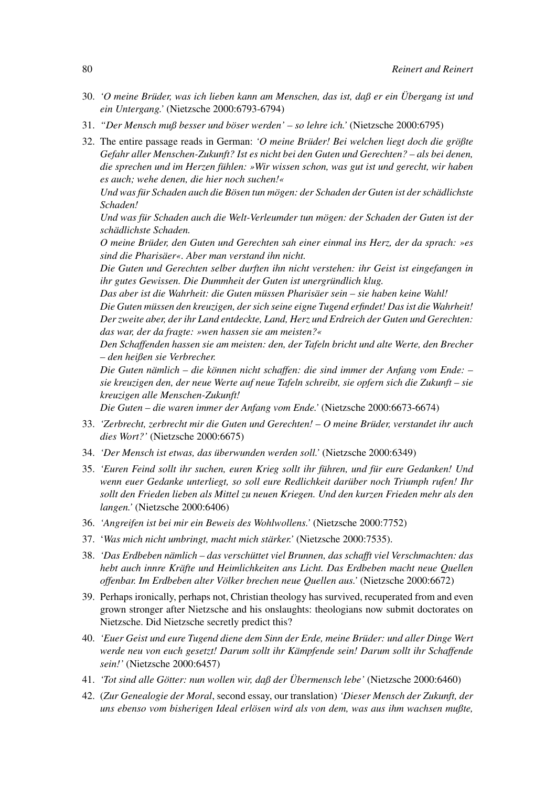- 30. *'O meine Brüder, was ich lieben kann am Menschen, das ist, daß er ein Übergang ist und ein Untergang.'* (Nietzsche 2000:6793-6794)
- 31. *"Der Mensch muß besser und böser werden' so lehre ich.'* (Nietzsche 2000:6795)
- 32. The entire passage reads in German: *'O meine Brüder! Bei welchen liegt doch die größte Gefahr aller Menschen-Zukunft? Ist es nicht bei den Guten und Gerechten? – als bei denen, die sprechen und im Herzen fühlen: »Wir wissen schon, was gut ist und gerecht, wir haben es auch; wehe denen, die hier noch suchen!«*

*Und was für Schaden auch die Bösen tun mögen: der Schaden der Guten ist der schädlichste Schaden!*

*Und was für Schaden auch die Welt-Verleumder tun mögen: der Schaden der Guten ist der schädlichste Schaden.*

*O meine Brüder, den Guten und Gerechten sah einer einmal ins Herz, der da sprach: »es sind die Pharisäer«. Aber man verstand ihn nicht.*

*Die Guten und Gerechten selber durften ihn nicht verstehen: ihr Geist ist eingefangen in ihr gutes Gewissen. Die Dummheit der Guten ist unergründlich klug.*

*Das aber ist die Wahrheit: die Guten müssen Pharisäer sein – sie haben keine Wahl!*

*Die Guten müssen den kreuzigen, der sich seine eigne Tugend erfindet! Das ist die Wahrheit! Der zweite aber, der ihr Land entdeckte, Land, Herz und Erdreich der Guten und Gerechten: das war, der da fragte: »wen hassen sie am meisten?«*

*Den Schaffenden hassen sie am meisten: den, der Tafeln bricht und alte Werte, den Brecher – den heißen sie Verbrecher.*

*Die Guten nämlich – die können nicht schaffen: die sind immer der Anfang vom Ende: – sie kreuzigen den, der neue Werte auf neue Tafeln schreibt, sie opfern sich die Zukunft – sie kreuzigen alle Menschen-Zukunft!*

*Die Guten – die waren immer der Anfang vom Ende.'* (Nietzsche 2000:6673-6674)

- 33. *'Zerbrecht, zerbrecht mir die Guten und Gerechten! O meine Brüder, verstandet ihr auch dies Wort?'* (Nietzsche 2000:6675)
- 34. *'Der Mensch ist etwas, das überwunden werden soll.'* (Nietzsche 2000:6349)
- 35. *'Euren Feind sollt ihr suchen, euren Krieg sollt ihr führen, und für eure Gedanken! Und wenn euer Gedanke unterliegt, so soll eure Redlichkeit darüber noch Triumph rufen! Ihr sollt den Frieden lieben als Mittel zu neuen Kriegen. Und den kurzen Frieden mehr als den langen.'* (Nietzsche 2000:6406)
- 36. *'Angreifen ist bei mir ein Beweis des Wohlwollens.'* (Nietzsche 2000:7752)
- 37. '*Was mich nicht umbringt, macht mich stärker.'* (Nietzsche 2000:7535).
- 38. *'Das Erdbeben nämlich das verschüttet viel Brunnen, das schafft viel Verschmachten: das hebt auch innre Kräfte und Heimlichkeiten ans Licht. Das Erdbeben macht neue Quellen offenbar. Im Erdbeben alter Völker brechen neue Quellen aus.'* (Nietzsche 2000:6672)
- 39. Perhaps ironically, perhaps not, Christian theology has survived, recuperated from and even grown stronger after Nietzsche and his onslaughts: theologians now submit doctorates on Nietzsche. Did Nietzsche secretly predict this?
- 40. *'Euer Geist und eure Tugend diene dem Sinn der Erde, meine Brüder: und aller Dinge Wert werde neu von euch gesetzt! Darum sollt ihr Kämpfende sein! Darum sollt ihr Schaffende sein!'* (Nietzsche 2000:6457)
- 41. *'Tot sind alle Götter: nun wollen wir, daß der Übermensch lebe'* (Nietzsche 2000:6460)
- 42. (*Zur Genealogie der Moral*, second essay, our translation) *'Dieser Mensch der Zukunft, der uns ebenso vom bisherigen Ideal erlösen wird als von dem, was aus ihm wachsen mußte,*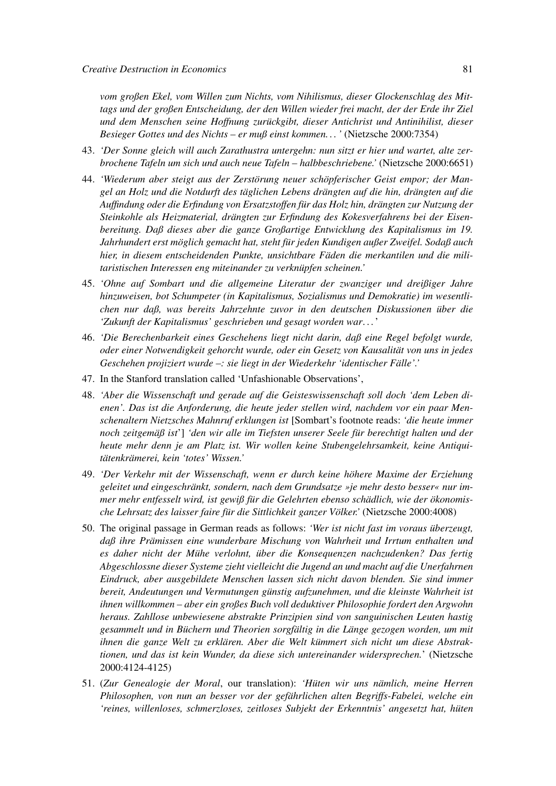*vom großen Ekel, vom Willen zum Nichts, vom Nihilismus, dieser Glockenschlag des Mittags und der großen Entscheidung, der den Willen wieder frei macht, der der Erde ihr Ziel und dem Menschen seine Hoffnung zurückgibt, dieser Antichrist und Antinihilist, dieser Besieger Gottes und des Nichts – er muß einst kommen. . . '* (Nietzsche 2000:7354)

- 43. *'Der Sonne gleich will auch Zarathustra untergehn: nun sitzt er hier und wartet, alte zerbrochene Tafeln um sich und auch neue Tafeln – halbbeschriebene.'* (Nietzsche 2000:6651)
- 44. *'Wiederum aber steigt aus der Zerstörung neuer schöpferischer Geist empor; der Mangel an Holz und die Notdurft des täglichen Lebens drängten auf die hin, drängten auf die Auffindung oder die Erfindung von Ersatzstoffen für das Holz hin, drängten zur Nutzung der Steinkohle als Heizmaterial, drängten zur Erfindung des Kokesverfahrens bei der Eisenbereitung. Daß dieses aber die ganze Großartige Entwicklung des Kapitalismus im 19. Jahrhundert erst möglich gemacht hat, steht für jeden Kundigen außer Zweifel. Sodaß auch hier, in diesem entscheidenden Punkte, unsichtbare Fäden die merkantilen und die militaristischen Interessen eng miteinander zu verknüpfen scheinen.'*
- 45. *'Ohne auf Sombart und die allgemeine Literatur der zwanziger und dreißiger Jahre hinzuweisen, bot Schumpeter (in Kapitalismus, Sozialismus und Demokratie) im wesentlichen nur daß, was bereits Jahrzehnte zuvor in den deutschen Diskussionen über die 'Zukunft der Kapitalismus' geschrieben und gesagt worden war*...'
- 46. *'Die Berechenbarkeit eines Geschehens liegt nicht darin, daß eine Regel befolgt wurde, oder einer Notwendigkeit gehorcht wurde, oder ein Gesetz von Kausalität von uns in jedes Geschehen projiziert wurde –: sie liegt in der Wiederkehr 'identischer Fälle'.'*
- 47. In the Stanford translation called 'Unfashionable Observations',
- 48. *'Aber die Wissenschaft und gerade auf die Geisteswissenschaft soll doch 'dem Leben dienen'. Das ist die Anforderung, die heute jeder stellen wird, nachdem vor ein paar Menschenaltern Nietzsches Mahnruf erklungen ist* [Sombart's footnote reads: *'die heute immer noch zeitgemäß ist*'] *'den wir alle im Tiefsten unserer Seele für berechtigt halten und der heute mehr denn je am Platz ist. Wir wollen keine Stubengelehrsamkeit, keine Antiquitätenkrämerei, kein 'totes' Wissen.'*
- 49. *'Der Verkehr mit der Wissenschaft, wenn er durch keine höhere Maxime der Erziehung geleitet und eingeschränkt, sondern, nach dem Grundsatze »je mehr desto besser« nur immer mehr entfesselt wird, ist gewiß für die Gelehrten ebenso schädlich, wie der ökonomische Lehrsatz des laisser faire für die Sittlichkeit ganzer Völker.'* (Nietzsche 2000:4008)
- 50. The original passage in German reads as follows: *'Wer ist nicht fast im voraus überzeugt, daß ihre Prämissen eine wunderbare Mischung von Wahrheit und Irrtum enthalten und es daher nicht der Mühe verlohnt, über die Konsequenzen nachzudenken? Das fertig Abgeschlossne dieser Systeme zieht vielleicht die Jugend an und macht auf die Unerfahrnen Eindruck, aber ausgebildete Menschen lassen sich nicht davon blenden. Sie sind immer bereit, Andeutungen und Vermutungen günstig aufzunehmen, und die kleinste Wahrheit ist ihnen willkommen – aber ein großes Buch voll deduktiver Philosophie fordert den Argwohn heraus. Zahllose unbewiesene abstrakte Prinzipien sind von sanguinischen Leuten hastig gesammelt und in Büchern und Theorien sorgfältig in die Länge gezogen worden, um mit ihnen die ganze Welt zu erklären. Aber die Welt kümmert sich nicht um diese Abstraktionen, und das ist kein Wunder, da diese sich untereinander widersprechen.*' (Nietzsche 2000:4124-4125)
- 51. (*Zur Genealogie der Moral*, our translation): *'Hüten wir uns nämlich, meine Herren Philosophen, von nun an besser vor der gefährlichen alten Begriffs-Fabelei, welche ein 'reines, willenloses, schmerzloses, zeitloses Subjekt der Erkenntnis' angesetzt hat, hüten*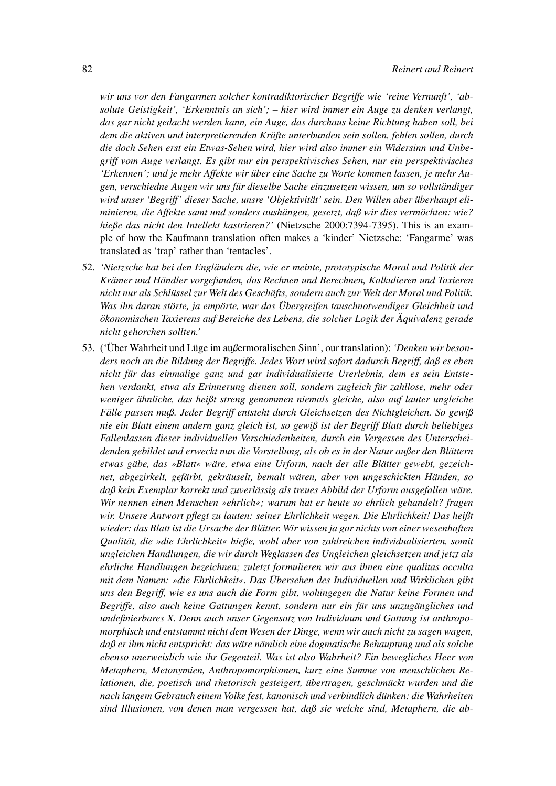*wir uns vor den Fangarmen solcher kontradiktorischer Begriffe wie 'reine Vernunft', 'absolute Geistigkeit', 'Erkenntnis an sich'; – hier wird immer ein Auge zu denken verlangt, das gar nicht gedacht werden kann, ein Auge, das durchaus keine Richtung haben soll, bei dem die aktiven und interpretierenden Kräfte unterbunden sein sollen, fehlen sollen, durch die doch Sehen erst ein Etwas-Sehen wird, hier wird also immer ein Widersinn und Unbegriff vom Auge verlangt. Es gibt nur ein perspektivisches Sehen, nur ein perspektivisches 'Erkennen'; und je mehr Affekte wir über eine Sache zu Worte kommen lassen, je mehr Augen, verschiedne Augen wir uns für dieselbe Sache einzusetzen wissen, um so vollständiger wird unser 'Begriff' dieser Sache, unsre 'Objektivität' sein. Den Willen aber überhaupt eliminieren, die Affekte samt und sonders aushängen, gesetzt, daß wir dies vermöchten: wie? hieße das nicht den Intellekt kastrieren?'* (Nietzsche 2000:7394-7395). This is an example of how the Kaufmann translation often makes a 'kinder' Nietzsche: 'Fangarme' was translated as 'trap' rather than 'tentacles'.

- 52. *'Nietzsche hat bei den Engländern die, wie er meinte, prototypische Moral und Politik der Krämer und Händler vorgefunden, das Rechnen und Berechnen, Kalkulieren und Taxieren nicht nur als Schlüssel zur Welt des Geschäfts, sondern auch zur Welt der Moral und Politik. Was ihn daran störte, ja empörte, war das Übergreifen tauschnotwendiger Gleichheit und ökonomischen Taxierens auf Bereiche des Lebens, die solcher Logik der Äquivalenz gerade nicht gehorchen sollten.'*
- 53. ('Über Wahrheit und Lüge im au*ß*ermoralischen Sinn', our translation): *'Denken wir besonders noch an die Bildung der Begriffe. Jedes Wort wird sofort dadurch Begriff, daß es eben nicht für das einmalige ganz und gar individualisierte Urerlebnis, dem es sein Entstehen verdankt, etwa als Erinnerung dienen soll, sondern zugleich für zahllose, mehr oder weniger ähnliche, das heißt streng genommen niemals gleiche, also auf lauter ungleiche Fälle passen muß. Jeder Begriff entsteht durch Gleichsetzen des Nichtgleichen. So gewiß nie ein Blatt einem andern ganz gleich ist, so gewiß ist der Begriff Blatt durch beliebiges Fallenlassen dieser individuellen Verschiedenheiten, durch ein Vergessen des Unterscheidenden gebildet und erweckt nun die Vorstellung, als ob es in der Natur außer den Blättern etwas gäbe, das »Blatt« wäre, etwa eine Urform, nach der alle Blätter gewebt, gezeichnet, abgezirkelt, gefärbt, gekräuselt, bemalt wären, aber von ungeschickten Händen, so daß kein Exemplar korrekt und zuverlässig als treues Abbild der Urform ausgefallen wäre. Wir nennen einen Menschen »ehrlich«; warum hat er heute so ehrlich gehandelt? fragen wir. Unsere Antwort pflegt zu lauten: seiner Ehrlichkeit wegen. Die Ehrlichkeit! Das heißt wieder: das Blatt ist die Ursache der Blätter. Wir wissen ja gar nichts von einer wesenhaften Qualität, die »die Ehrlichkeit« hieße, wohl aber von zahlreichen individualisierten, somit ungleichen Handlungen, die wir durch Weglassen des Ungleichen gleichsetzen und jetzt als ehrliche Handlungen bezeichnen; zuletzt formulieren wir aus ihnen eine qualitas occulta mit dem Namen: »die Ehrlichkeit«. Das Übersehen des Individuellen und Wirklichen gibt uns den Begriff, wie es uns auch die Form gibt, wohingegen die Natur keine Formen und Begriffe, also auch keine Gattungen kennt, sondern nur ein für uns unzugängliches und undefinierbares X. Denn auch unser Gegensatz von Individuum und Gattung ist anthropomorphisch und entstammt nicht dem Wesen der Dinge, wenn wir auch nicht zu sagen wagen, daß er ihm nicht entspricht: das wäre nämlich eine dogmatische Behauptung und als solche ebenso unerweislich wie ihr Gegenteil. Was ist also Wahrheit? Ein bewegliches Heer von Metaphern, Metonymien, Anthropomorphismen, kurz eine Summe von menschlichen Relationen, die, poetisch und rhetorisch gesteigert, übertragen, geschmückt wurden und die nach langem Gebrauch einem Volke fest, kanonisch und verbindlich dünken: die Wahrheiten sind Illusionen, von denen man vergessen hat, daß sie welche sind, Metaphern, die ab-*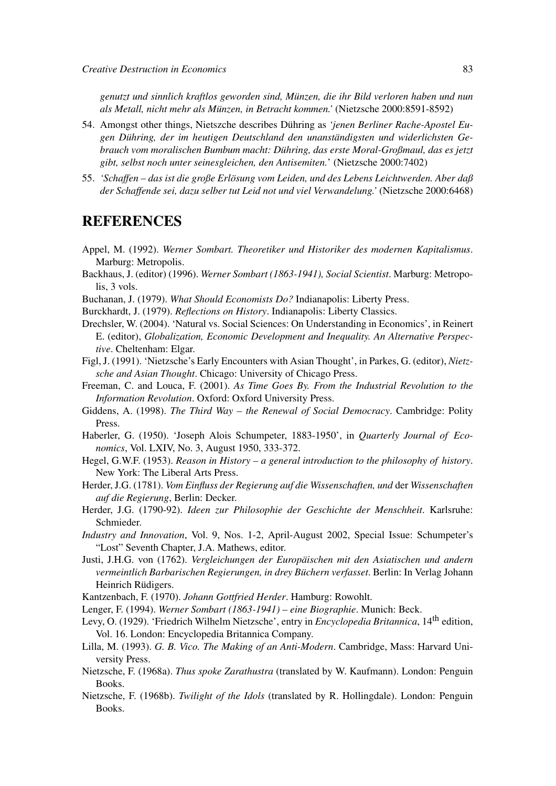*genutzt und sinnlich kraftlos geworden sind, Münzen, die ihr Bild verloren haben und nun als Metall, nicht mehr als Münzen, in Betracht kommen.'* (Nietzsche 2000:8591-8592)

- 54. Amongst other things, Nietszche describes Dühring as *'jenen Berliner Rache-Apostel Eugen Dühring, der im heutigen Deutschland den unanständigsten und widerlichsten Gebrauch vom moralischen Bumbum macht: Dühring, das erste Moral-Großmaul, das es jetzt gibt, selbst noch unter seinesgleichen, den Antisemiten.*' (Nietzsche 2000:7402)
- 55. *'Schaffen das ist die große Erlösung vom Leiden, und des Lebens Leichtwerden. Aber daß der Schaffende sei, dazu selber tut Leid not und viel Verwandelung.'* (Nietzsche 2000:6468)

## **REFERENCES**

- Appel, M. (1992). *Werner Sombart. Theoretiker und Historiker des modernen Kapitalismus*. Marburg: Metropolis.
- Backhaus, J. (editor) (1996). *Werner Sombart (1863-1941), Social Scientist*. Marburg: Metropolis, 3 vols.
- Buchanan, J. (1979). *What Should Economists Do?* Indianapolis: Liberty Press.
- Burckhardt, J. (1979). *Reflections on History*. Indianapolis: Liberty Classics.
- Drechsler, W. (2004). 'Natural vs. Social Sciences: On Understanding in Economics', in Reinert E. (editor), *Globalization, Economic Development and Inequality. An Alternative Perspective*. Cheltenham: Elgar.
- Figl, J. (1991). 'Nietzsche's Early Encounters with Asian Thought', in Parkes, G. (editor), *Nietzsche and Asian Thought*. Chicago: University of Chicago Press.
- Freeman, C. and Louca, F. (2001). *As Time Goes By. From the Industrial Revolution to the Information Revolution*. Oxford: Oxford University Press.
- Giddens, A. (1998). *The Third Way the Renewal of Social Democracy*. Cambridge: Polity Press.
- Haberler, G. (1950). 'Joseph Alois Schumpeter, 1883-1950', in *Quarterly Journal of Economics*, Vol. LXIV, No. 3, August 1950, 333-372.
- Hegel, G.W.F. (1953). *Reason in History a general introduction to the philosophy of history*. New York: The Liberal Arts Press.
- Herder, J.G. (1781). *Vom Einfluss der Regierung auf die Wissenschaften, und* der *Wissenschaften auf die Regierung*, Berlin: Decker.
- Herder, J.G. (1790-92). *Ideen zur Philosophie der Geschichte der Menschheit*. Karlsruhe: Schmieder.
- *Industry and Innovation*, Vol. 9, Nos. 1-2, April-August 2002, Special Issue: Schumpeter's "Lost" Seventh Chapter, J.A. Mathews, editor.
- Justi, J.H.G. von (1762). *Vergleichungen der Europäischen mit den Asiatischen und andern vermeintlich Barbarischen Regierungen, in drey Büchern verfasset*. Berlin: In Verlag Johann Heinrich Rüdigers.
- Kantzenbach, F. (1970). *Johann Gottfried Herder*. Hamburg: Rowohlt.
- Lenger, F. (1994). *Werner Sombart (1863-1941) eine Biographie*. Munich: Beck.
- Levy, O. (1929). 'Friedrich Wilhelm Nietzsche', entry in *Encyclopedia Britannica*, 14<sup>th</sup> edition, Vol. 16. London: Encyclopedia Britannica Company.
- Lilla, M. (1993). *G. B. Vico. The Making of an Anti-Modern*. Cambridge, Mass: Harvard University Press.
- Nietzsche, F. (1968a). *Thus spoke Zarathustra* (translated by W. Kaufmann). London: Penguin Books.
- Nietzsche, F. (1968b). *Twilight of the Idols* (translated by R. Hollingdale). London: Penguin Books.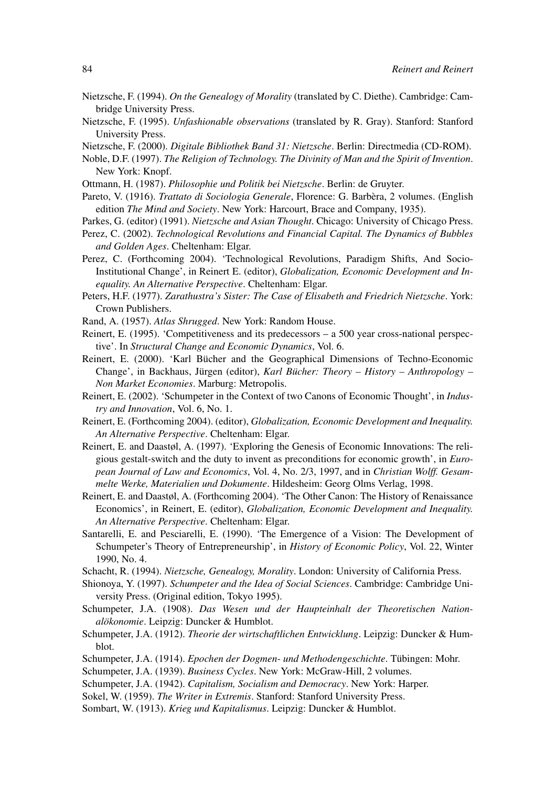- Nietzsche, F. (1994). *On the Genealogy of Morality* (translated by C. Diethe). Cambridge: Cambridge University Press.
- Nietzsche, F. (1995). *Unfashionable observations* (translated by R. Gray). Stanford: Stanford University Press.
- Nietzsche, F. (2000). *Digitale Bibliothek Band 31: Nietzsche*. Berlin: Directmedia (CD-ROM).
- Noble, D.F. (1997). *The Religion of Technology. The Divinity of Man and the Spirit of Invention*. New York: Knopf.

Ottmann, H. (1987). *Philosophie und Politik bei Nietzsche*. Berlin: de Gruyter.

- Pareto, V. (1916). *Trattato di Sociologia Generale*, Florence: G. Barbèra, 2 volumes. (English edition *The Mind and Society*. New York: Harcourt, Brace and Company, 1935).
- Parkes, G. (editor) (1991). *Nietzsche and Asian Thought*. Chicago: University of Chicago Press.
- Perez, C. (2002). *Technological Revolutions and Financial Capital. The Dynamics of Bubbles and Golden Ages*. Cheltenham: Elgar.
- Perez, C. (Forthcoming 2004). 'Technological Revolutions, Paradigm Shifts, And Socio-Institutional Change', in Reinert E. (editor), *Globalization, Economic Development and Inequality. An Alternative Perspective*. Cheltenham: Elgar.
- Peters, H.F. (1977). *Zarathustra's Sister: The Case of Elisabeth and Friedrich Nietzsche*. York: Crown Publishers.
- Rand, A. (1957). *Atlas Shrugged*. New York: Random House.
- Reinert, E. (1995). 'Competitiveness and its predecessors a 500 year cross-national perspective'. In *Structural Change and Economic Dynamics*, Vol. 6.
- Reinert, E. (2000). 'Karl Bücher and the Geographical Dimensions of Techno-Economic Change', in Backhaus, Jürgen (editor), *Karl Bücher: Theory – History – Anthropology – Non Market Economies*. Marburg: Metropolis.
- Reinert, E. (2002). 'Schumpeter in the Context of two Canons of Economic Thought', in *Industry and Innovation*, Vol. 6, No. 1.
- Reinert, E. (Forthcoming 2004). (editor), *Globalization, Economic Development and Inequality. An Alternative Perspective*. Cheltenham: Elgar.
- Reinert, E. and Daastøl, A. (1997). 'Exploring the Genesis of Economic Innovations: The religious gestalt-switch and the duty to invent as preconditions for economic growth', in *European Journal of Law and Economics*, Vol. 4, No. 2/3, 1997, and in *Christian Wolff. Gesammelte Werke, Materialien und Dokumente*. Hildesheim: Georg Olms Verlag, 1998.
- Reinert, E. and Daastøl, A. (Forthcoming 2004). 'The Other Canon: The History of Renaissance Economics', in Reinert, E. (editor), *Globalization, Economic Development and Inequality. An Alternative Perspective*. Cheltenham: Elgar.
- Santarelli, E. and Pesciarelli, E. (1990). 'The Emergence of a Vision: The Development of Schumpeter's Theory of Entrepreneurship', in *History of Economic Policy*, Vol. 22, Winter 1990, No. 4.
- Schacht, R. (1994). *Nietzsche, Genealogy, Morality*. London: University of California Press.
- Shionoya, Y. (1997). *Schumpeter and the Idea of Social Sciences*. Cambridge: Cambridge University Press. (Original edition, Tokyo 1995).
- Schumpeter, J.A. (1908). *Das Wesen und der Haupteinhalt der Theoretischen Nationalökonomie*. Leipzig: Duncker & Humblot.
- Schumpeter, J.A. (1912). *Theorie der wirtschaftlichen Entwicklung*. Leipzig: Duncker & Humblot.
- Schumpeter, J.A. (1914). *Epochen der Dogmen- und Methodengeschichte*. Tübingen: Mohr.
- Schumpeter, J.A. (1939). *Business Cycles*. New York: McGraw-Hill, 2 volumes.
- Schumpeter, J.A. (1942). *Capitalism, Socialism and Democracy*. New York: Harper.
- Sokel, W. (1959). *The Writer in Extremis*. Stanford: Stanford University Press.
- Sombart, W. (1913). *Krieg und Kapitalismus*. Leipzig: Duncker & Humblot.